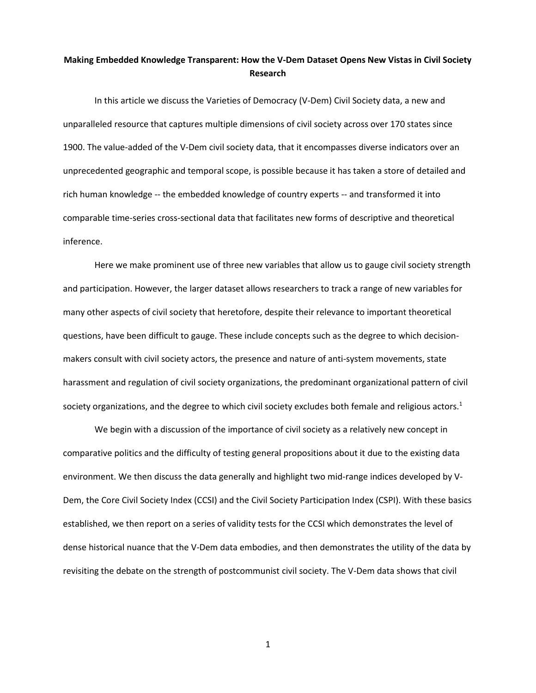# **Making Embedded Knowledge Transparent: How the V-Dem Dataset Opens New Vistas in Civil Society Research**

In this article we discuss the Varieties of Democracy (V-Dem) Civil Society data, a new and unparalleled resource that captures multiple dimensions of civil society across over 170 states since 1900. The value-added of the V-Dem civil society data, that it encompasses diverse indicators over an unprecedented geographic and temporal scope, is possible because it has taken a store of detailed and rich human knowledge -- the embedded knowledge of country experts -- and transformed it into comparable time-series cross-sectional data that facilitates new forms of descriptive and theoretical inference.

Here we make prominent use of three new variables that allow us to gauge civil society strength and participation. However, the larger dataset allows researchers to track a range of new variables for many other aspects of civil society that heretofore, despite their relevance to important theoretical questions, have been difficult to gauge. These include concepts such as the degree to which decisionmakers consult with civil society actors, the presence and nature of anti-system movements, state harassment and regulation of civil society organizations, the predominant organizational pattern of civil society organizations, and the degree to which civil society excludes both female and religious actors.<sup>1</sup>

We begin with a discussion of the importance of civil society as a relatively new concept in comparative politics and the difficulty of testing general propositions about it due to the existing data environment. We then discuss the data generally and highlight two mid-range indices developed by V-Dem, the Core Civil Society Index (CCSI) and the Civil Society Participation Index (CSPI). With these basics established, we then report on a series of validity tests for the CCSI which demonstrates the level of dense historical nuance that the V-Dem data embodies, and then demonstrates the utility of the data by revisiting the debate on the strength of postcommunist civil society. The V-Dem data shows that civil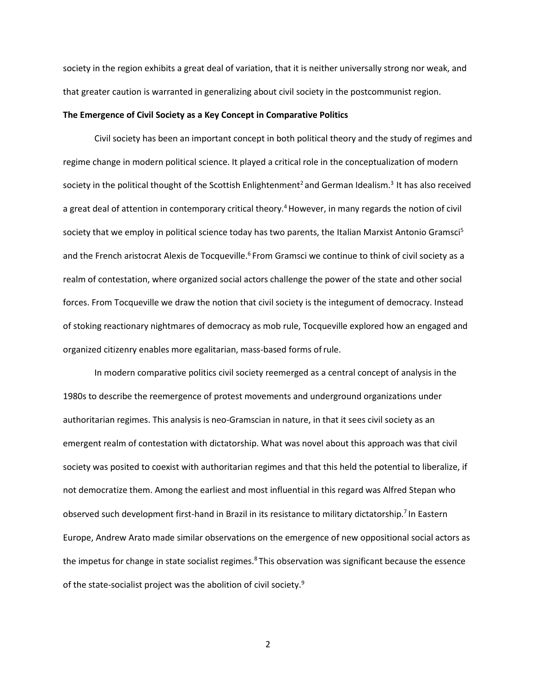society in the region exhibits a great deal of variation, that it is neither universally strong nor weak, and that greater caution is warranted in generalizing about civil society in the postcommunist region.

## **The Emergence of Civil Society as a Key Concept in Comparative Politics**

Civil society has been an important concept in both political theory and the study of regimes and regime change in modern political science. It played a critical role in the conceptualization of modern society in the political thought of the Scottish Enlightenment<sup>2</sup> and German Idealism.<sup>3</sup> It has also received a great deal of attention in contemporary critical theory.<sup>4</sup> However, in many regards the notion of civil society that we employ in political science today has two parents, the Italian Marxist Antonio Gramsci<sup>5</sup> and the French aristocrat Alexis de Tocqueville.<sup>6</sup> From Gramsci we continue to think of civil society as a realm of contestation, where organized social actors challenge the power of the state and other social forces. From Tocqueville we draw the notion that civil society is the integument of democracy. Instead of stoking reactionary nightmares of democracy as mob rule, Tocqueville explored how an engaged and organized citizenry enables more egalitarian, mass-based forms ofrule.

In modern comparative politics civil society reemerged as a central concept of analysis in the 1980s to describe the reemergence of protest movements and underground organizations under authoritarian regimes. This analysis is neo-Gramscian in nature, in that it sees civil society as an emergent realm of contestation with dictatorship. What was novel about this approach was that civil society was posited to coexist with authoritarian regimes and that this held the potential to liberalize, if not democratize them. Among the earliest and most influential in this regard was Alfred Stepan who observed such development first-hand in Brazil in its resistance to military dictatorship.<sup>7</sup> In Eastern Europe, Andrew Arato made similar observations on the emergence of new oppositional social actors as the impetus for change in state socialist regimes. $8$ This observation was significant because the essence of the state-socialist project was the abolition of civil society.9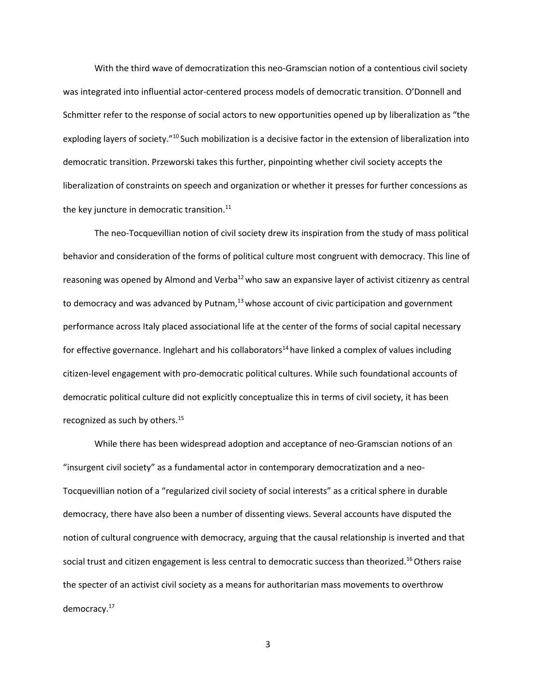With the third wave of democratization this neo-Gramscian notion of a contentious civil society was integrated into influential actor-centered process models of democratic transition. O'Donnell and Schmitter refer to the response of social actors to new opportunities opened up by liberalization as "the exploding layers of society."<sup>10</sup> Such mobilization is a decisive factor in the extension of liberalization into democratic transition. Przeworski takes this further, pinpointing whether civil society accepts the liberalization of constraints on speech and organization or whether it presses for further concessions as the key juncture in democratic transition. $11$ 

The neo-Tocquevillian notion of civil society drew its inspiration from the study of mass political behavior and consideration of the forms of political culture most congruent with democracy. This line of reasoning was opened by Almond and Verba<sup>12</sup> who saw an expansive layer of activist citizenry as central to democracy and was advanced by Putnam, $13$  whose account of civic participation and government performance across Italy placed associational life at the center of the forms of social capital necessary for effective governance. Inglehart and his collaborators<sup>14</sup> have linked a complex of values including citizen-level engagement with pro-democratic political cultures. While such foundational accounts of democratic political culture did not explicitly conceptualize this in terms of civil society, it has been recognized as such by others.<sup>15</sup>

While there has been widespread adoption and acceptance of neo-Gramscian notions of an "insurgent civil society" as a fundamental actor in contemporary democratization and a neo-Tocquevillian notion of a "regularized civil society of social interests" as a critical sphere in durable democracy, there have also been a number of dissenting views. Several accounts have disputed the notion of cultural congruence with democracy, arguing that the causal relationship is inverted and that social trust and citizen engagement is less central to democratic success than theorized.<sup>16</sup> Others raise the specter of an activist civil society as a means for authoritarian mass movements to overthrow democracy.17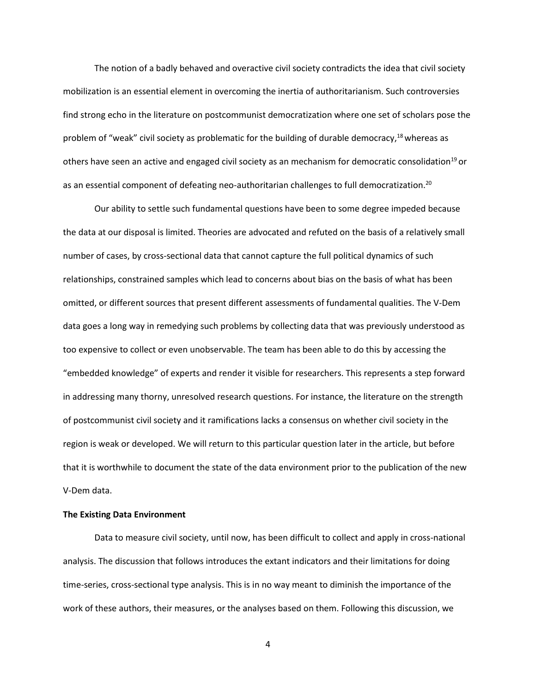The notion of a badly behaved and overactive civil society contradicts the idea that civil society mobilization is an essential element in overcoming the inertia of authoritarianism. Such controversies find strong echo in the literature on postcommunist democratization where one set of scholars pose the problem of "weak" civil society as problematic for the building of durable democracy, $18$  whereas as others have seen an active and engaged civil society as an mechanism for democratic consolidation<sup>19</sup> or as an essential component of defeating neo-authoritarian challenges to full democratization.<sup>20</sup>

Our ability to settle such fundamental questions have been to some degree impeded because the data at our disposal is limited. Theories are advocated and refuted on the basis of a relatively small number of cases, by cross-sectional data that cannot capture the full political dynamics of such relationships, constrained samples which lead to concerns about bias on the basis of what has been omitted, or different sources that present different assessments of fundamental qualities. The V-Dem data goes a long way in remedying such problems by collecting data that was previously understood as too expensive to collect or even unobservable. The team has been able to do this by accessing the "embedded knowledge" of experts and render it visible for researchers. This represents a step forward in addressing many thorny, unresolved research questions. For instance, the literature on the strength of postcommunist civil society and it ramifications lacks a consensus on whether civil society in the region is weak or developed. We will return to this particular question later in the article, but before that it is worthwhile to document the state of the data environment prior to the publication of the new V-Dem data.

## **The Existing Data Environment**

Data to measure civil society, until now, has been difficult to collect and apply in cross-national analysis. The discussion that follows introduces the extant indicators and their limitations for doing time-series, cross-sectional type analysis. This is in no way meant to diminish the importance of the work of these authors, their measures, or the analyses based on them. Following this discussion, we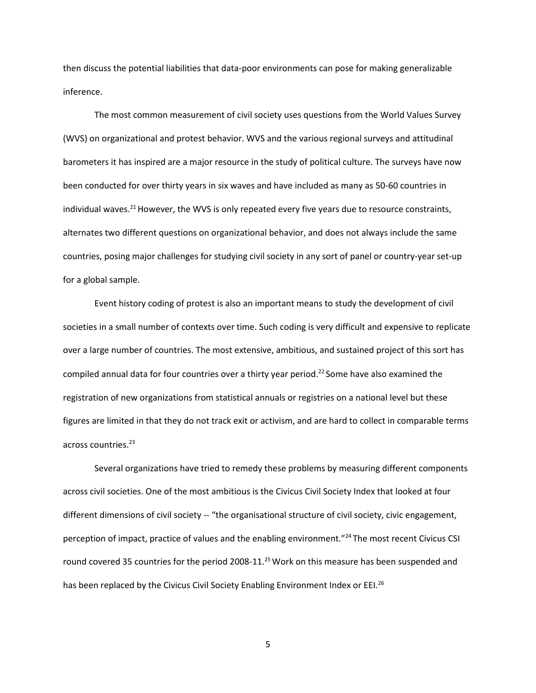then discuss the potential liabilities that data-poor environments can pose for making generalizable inference.

The most common measurement of civil society uses questions from the World Values Survey (WVS) on organizational and protest behavior. WVS and the various regional surveys and attitudinal barometers it has inspired are a major resource in the study of political culture. The surveys have now been conducted for over thirty years in six waves and have included as many as 50-60 countries in individual waves. $21$  However, the WVS is only repeated every five years due to resource constraints, alternates two different questions on organizational behavior, and does not always include the same countries, posing major challenges for studying civil society in any sort of panel or country-year set-up for a global sample.

Event history coding of protest is also an important means to study the development of civil societies in a small number of contexts over time. Such coding is very difficult and expensive to replicate over a large number of countries. The most extensive, ambitious, and sustained project of this sort has compiled annual data for four countries over a thirty year period.<sup>22</sup> Some have also examined the registration of new organizations from statistical annuals or registries on a national level but these figures are limited in that they do not track exit or activism, and are hard to collect in comparable terms across countries.<sup>23</sup>

Several organizations have tried to remedy these problems by measuring different components across civil societies. One of the most ambitious is the Civicus Civil Society Index that looked at four different dimensions of civil society -- "the organisational structure of civil society, civic engagement, perception of impact, practice of values and the enabling environment."<sup>24</sup>The most recent Civicus CSI round covered 35 countries for the period 2008-11.<sup>25</sup> Work on this measure has been suspended and has been replaced by the Civicus Civil Society Enabling Environment Index or EEI.<sup>26</sup>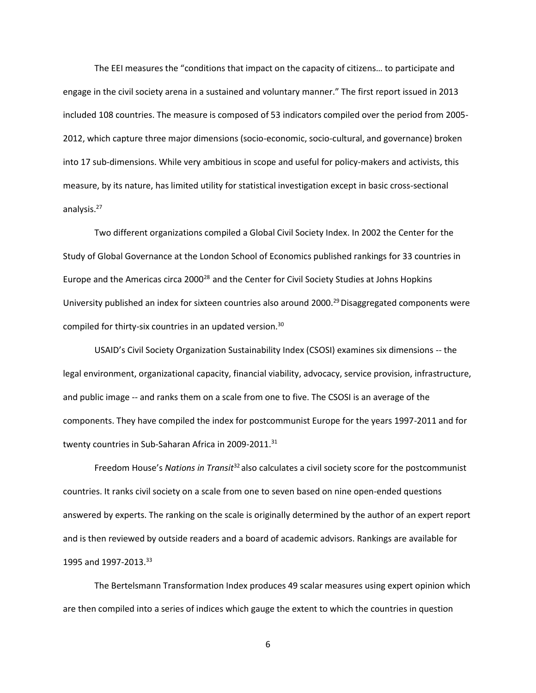The EEI measures the "conditions that impact on the capacity of citizens… to participate and engage in the civil society arena in a sustained and voluntary manner." The first report issued in 2013 included 108 countries. The measure is composed of 53 indicators compiled over the period from 2005- 2012, which capture three major dimensions (socio-economic, socio-cultural, and governance) broken into 17 sub-dimensions. While very ambitious in scope and useful for policy-makers and activists, this measure, by its nature, has limited utility for statistical investigation except in basic cross-sectional analysis.<sup>27</sup>

Two different organizations compiled a Global Civil Society Index. In 2002 the Center for the Study of Global Governance at the London School of Economics published rankings for 33 countries in Europe and the Americas circa 2000<sup>28</sup> and the Center for Civil Society Studies at Johns Hopkins University published an index for sixteen countries also around 2000.<sup>29</sup> Disaggregated components were compiled for thirty-six countries in an updated version.<sup>30</sup>

USAID's Civil Society Organization Sustainability Index (CSOSI) examines six dimensions -- the legal environment, organizational capacity, financial viability, advocacy, service provision, infrastructure, and public image -- and ranks them on a scale from one to five. The CSOSI is an average of the components. They have compiled the index for postcommunist Europe for the years 1997-2011 and for twenty countries in Sub-Saharan Africa in 2009-2011.<sup>31</sup>

Freedom House's *Nations in Transit*<sup>32</sup> also calculates a civil society score for the postcommunist countries. It ranks civil society on a scale from one to seven based on nine open-ended questions answered by experts. The ranking on the scale is originally determined by the author of an expert report and is then reviewed by outside readers and a board of academic advisors. Rankings are available for 1995 and 1997-2013.<sup>33</sup>

The Bertelsmann Transformation Index produces 49 scalar measures using expert opinion which are then compiled into a series of indices which gauge the extent to which the countries in question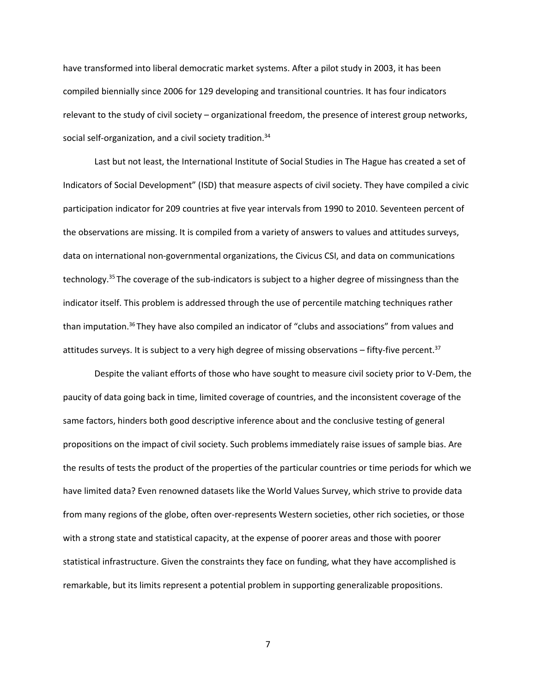have transformed into liberal democratic market systems. After a pilot study in 2003, it has been compiled biennially since 2006 for 129 developing and transitional countries. It has four indicators relevant to the study of civil society – organizational freedom, the presence of interest group networks, social self-organization, and a civil society tradition.<sup>34</sup>

Last but not least, the International Institute of Social Studies in The Hague has created a set of Indicators of Social Development" (ISD) that measure aspects of civil society. They have compiled a civic participation indicator for 209 countries at five year intervals from 1990 to 2010. Seventeen percent of the observations are missing. It is compiled from a variety of answers to values and attitudes surveys, data on international non-governmental organizations, the Civicus CSI, and data on communications technology.<sup>35</sup> The coverage of the sub-indicators is subject to a higher degree of missingness than the indicator itself. This problem is addressed through the use of percentile matching techniques rather than imputation.<sup>36</sup> They have also compiled an indicator of "clubs and associations" from values and attitudes surveys. It is subject to a very high degree of missing observations  $-$  fifty-five percent.<sup>37</sup>

Despite the valiant efforts of those who have sought to measure civil society prior to V-Dem, the paucity of data going back in time, limited coverage of countries, and the inconsistent coverage of the same factors, hinders both good descriptive inference about and the conclusive testing of general propositions on the impact of civil society. Such problems immediately raise issues of sample bias. Are the results of tests the product of the properties of the particular countries or time periods for which we have limited data? Even renowned datasets like the World Values Survey, which strive to provide data from many regions of the globe, often over-represents Western societies, other rich societies, or those with a strong state and statistical capacity, at the expense of poorer areas and those with poorer statistical infrastructure. Given the constraints they face on funding, what they have accomplished is remarkable, but its limits represent a potential problem in supporting generalizable propositions.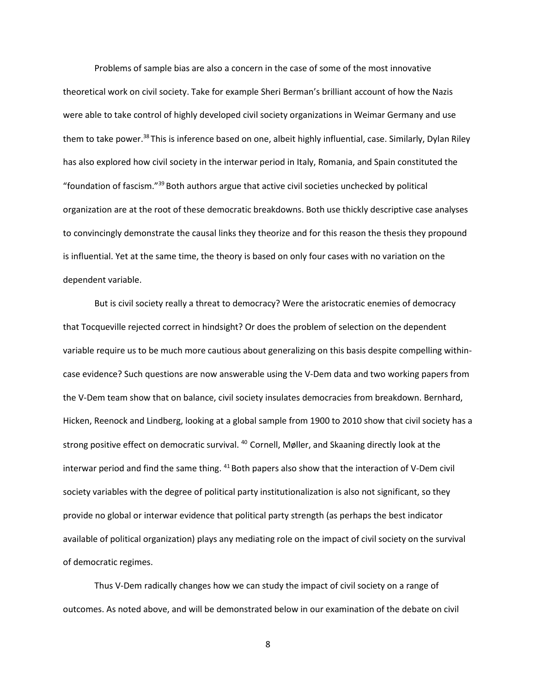Problems of sample bias are also a concern in the case of some of the most innovative theoretical work on civil society. Take for example Sheri Berman's brilliant account of how the Nazis were able to take control of highly developed civil society organizations in Weimar Germany and use them to take power.<sup>38</sup>This is inference based on one, albeit highly influential, case. Similarly, Dylan Riley has also explored how civil society in the interwar period in Italy, Romania, and Spain constituted the "foundation of fascism." $39$  Both authors argue that active civil societies unchecked by political organization are at the root of these democratic breakdowns. Both use thickly descriptive case analyses to convincingly demonstrate the causal links they theorize and for this reason the thesis they propound is influential. Yet at the same time, the theory is based on only four cases with no variation on the dependent variable.

But is civil society really a threat to democracy? Were the aristocratic enemies of democracy that Tocqueville rejected correct in hindsight? Or does the problem of selection on the dependent variable require us to be much more cautious about generalizing on this basis despite compelling withincase evidence? Such questions are now answerable using the V-Dem data and two working papers from the V-Dem team show that on balance, civil society insulates democracies from breakdown. Bernhard, Hicken, Reenock and Lindberg, looking at a global sample from 1900 to 2010 show that civil society has a strong positive effect on democratic survival.<sup>40</sup> Cornell, Møller, and Skaaning directly look at the interwar period and find the same thing.  $41$  Both papers also show that the interaction of V-Dem civil society variables with the degree of political party institutionalization is also not significant, so they provide no global or interwar evidence that political party strength (as perhaps the best indicator available of political organization) plays any mediating role on the impact of civil society on the survival of democratic regimes.

Thus V-Dem radically changes how we can study the impact of civil society on a range of outcomes. As noted above, and will be demonstrated below in our examination of the debate on civil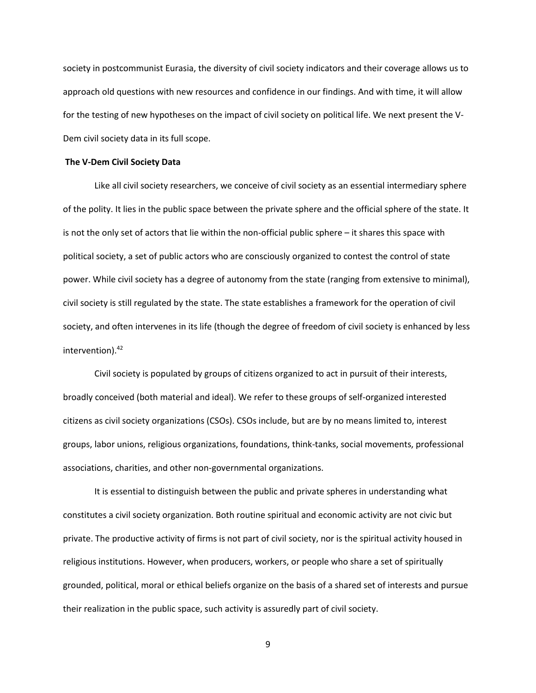society in postcommunist Eurasia, the diversity of civil society indicators and their coverage allows us to approach old questions with new resources and confidence in our findings. And with time, it will allow for the testing of new hypotheses on the impact of civil society on political life. We next present the V-Dem civil society data in its full scope.

### **The V-Dem Civil Society Data**

Like all civil society researchers, we conceive of civil society as an essential intermediary sphere of the polity. It lies in the public space between the private sphere and the official sphere of the state. It is not the only set of actors that lie within the non-official public sphere – it shares this space with political society, a set of public actors who are consciously organized to contest the control of state power. While civil society has a degree of autonomy from the state (ranging from extensive to minimal), civil society is still regulated by the state. The state establishes a framework for the operation of civil society, and often intervenes in its life (though the degree of freedom of civil society is enhanced by less intervention).<sup>42</sup>

Civil society is populated by groups of citizens organized to act in pursuit of their interests, broadly conceived (both material and ideal). We refer to these groups of self-organized interested citizens as civil society organizations (CSOs). CSOs include, but are by no means limited to, interest groups, labor unions, religious organizations, foundations, think-tanks, social movements, professional associations, charities, and other non-governmental organizations.

It is essential to distinguish between the public and private spheres in understanding what constitutes a civil society organization. Both routine spiritual and economic activity are not civic but private. The productive activity of firms is not part of civil society, nor is the spiritual activity housed in religious institutions. However, when producers, workers, or people who share a set of spiritually grounded, political, moral or ethical beliefs organize on the basis of a shared set of interests and pursue their realization in the public space, such activity is assuredly part of civil society.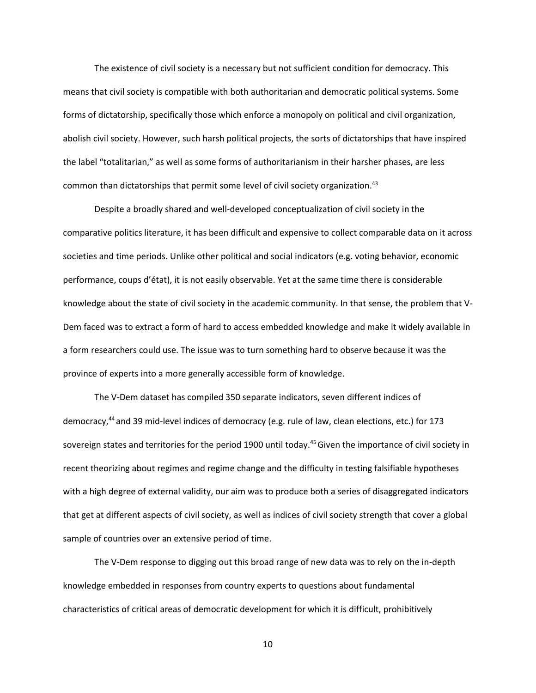The existence of civil society is a necessary but not sufficient condition for democracy. This means that civil society is compatible with both authoritarian and democratic political systems. Some forms of dictatorship, specifically those which enforce a monopoly on political and civil organization, abolish civil society. However, such harsh political projects, the sorts of dictatorships that have inspired the label "totalitarian," as well as some forms of authoritarianism in their harsher phases, are less common than dictatorships that permit some level of civil society organization.<sup>43</sup>

Despite a broadly shared and well-developed conceptualization of civil society in the comparative politics literature, it has been difficult and expensive to collect comparable data on it across societies and time periods. Unlike other political and social indicators (e.g. voting behavior, economic performance, coups d'état), it is not easily observable. Yet at the same time there is considerable knowledge about the state of civil society in the academic community. In that sense, the problem that V-Dem faced was to extract a form of hard to access embedded knowledge and make it widely available in a form researchers could use. The issue was to turn something hard to observe because it was the province of experts into a more generally accessible form of knowledge.

The V-Dem dataset has compiled 350 separate indicators, seven different indices of democracy,<sup>44</sup>and 39 mid-level indices of democracy (e.g. rule of law, clean elections, etc.) for 173 sovereign states and territories for the period 1900 until today.<sup>45</sup> Given the importance of civil society in recent theorizing about regimes and regime change and the difficulty in testing falsifiable hypotheses with a high degree of external validity, our aim was to produce both a series of disaggregated indicators that get at different aspects of civil society, as well as indices of civil society strength that cover a global sample of countries over an extensive period of time.

The V-Dem response to digging out this broad range of new data was to rely on the in-depth knowledge embedded in responses from country experts to questions about fundamental characteristics of critical areas of democratic development for which it is difficult, prohibitively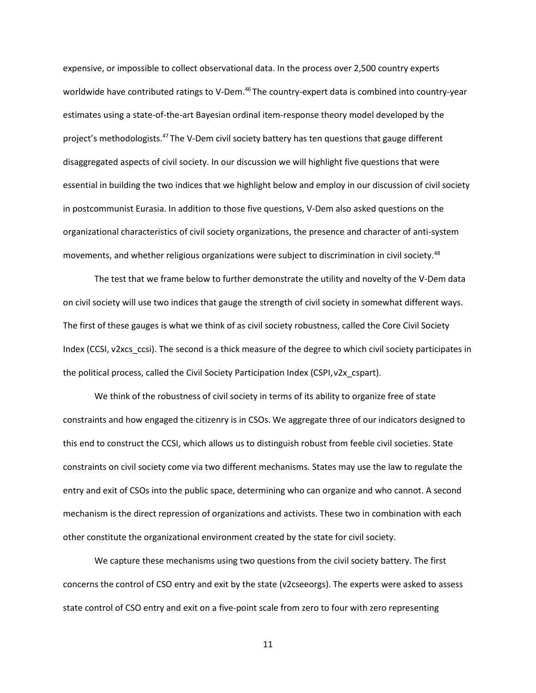expensive, or impossible to collect observational data. In the process over 2,500 country experts worldwide have contributed ratings to V-Dem.<sup>46</sup>The country-expert data is combined into country-year estimates using a state-of-the-art Bayesian ordinal item-response theory model developed by the project's methodologists.<sup>47</sup>The V-Dem civil society battery has ten questions that gauge different disaggregated aspects of civil society. In our discussion we will highlight five questions that were essential in building the two indices that we highlight below and employ in our discussion of civil society in postcommunist Eurasia. In addition to those five questions, V-Dem also asked questions on the organizational characteristics of civil society organizations, the presence and character of anti-system movements, and whether religious organizations were subject to discrimination in civil society.<sup>48</sup>

The test that we frame below to further demonstrate the utility and novelty of the V-Dem data on civil society will use two indices that gauge the strength of civil society in somewhat different ways. The first of these gauges is what we think of as civil society robustness, called the Core Civil Society Index (CCSI, v2xcs\_ccsi). The second is a thick measure of the degree to which civil society participates in the political process, called the Civil Society Participation Index (CSPI,v2x\_cspart).

We think of the robustness of civil society in terms of its ability to organize free of state constraints and how engaged the citizenry is in CSOs. We aggregate three of our indicators designed to this end to construct the CCSI, which allows us to distinguish robust from feeble civil societies. State constraints on civil society come via two different mechanisms. States may use the law to regulate the entry and exit of CSOs into the public space, determining who can organize and who cannot. A second mechanism is the direct repression of organizations and activists. These two in combination with each other constitute the organizational environment created by the state for civil society.

We capture these mechanisms using two questions from the civil society battery. The first concerns the control of CSO entry and exit by the state (v2cseeorgs). The experts were asked to assess state control of CSO entry and exit on a five-point scale from zero to four with zero representing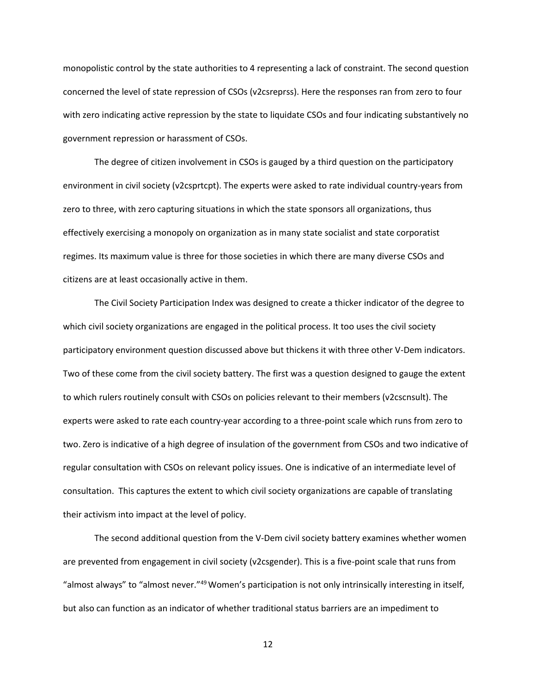monopolistic control by the state authorities to 4 representing a lack of constraint. The second question concerned the level of state repression of CSOs (v2csreprss). Here the responses ran from zero to four with zero indicating active repression by the state to liquidate CSOs and four indicating substantively no government repression or harassment of CSOs.

The degree of citizen involvement in CSOs is gauged by a third question on the participatory environment in civil society (v2csprtcpt). The experts were asked to rate individual country-years from zero to three, with zero capturing situations in which the state sponsors all organizations, thus effectively exercising a monopoly on organization as in many state socialist and state corporatist regimes. Its maximum value is three for those societies in which there are many diverse CSOs and citizens are at least occasionally active in them.

The Civil Society Participation Index was designed to create a thicker indicator of the degree to which civil society organizations are engaged in the political process. It too uses the civil society participatory environment question discussed above but thickens it with three other V-Dem indicators. Two of these come from the civil society battery. The first was a question designed to gauge the extent to which rulers routinely consult with CSOs on policies relevant to their members (v2cscnsult). The experts were asked to rate each country-year according to a three-point scale which runs from zero to two. Zero is indicative of a high degree of insulation of the government from CSOs and two indicative of regular consultation with CSOs on relevant policy issues. One is indicative of an intermediate level of consultation. This captures the extent to which civil society organizations are capable of translating their activism into impact at the level of policy.

The second additional question from the V-Dem civil society battery examines whether women are prevented from engagement in civil society (v2csgender). This is a five-point scale that runs from "almost always" to "almost never."<sup>49</sup> Women's participation is not only intrinsically interesting in itself, but also can function as an indicator of whether traditional status barriers are an impediment to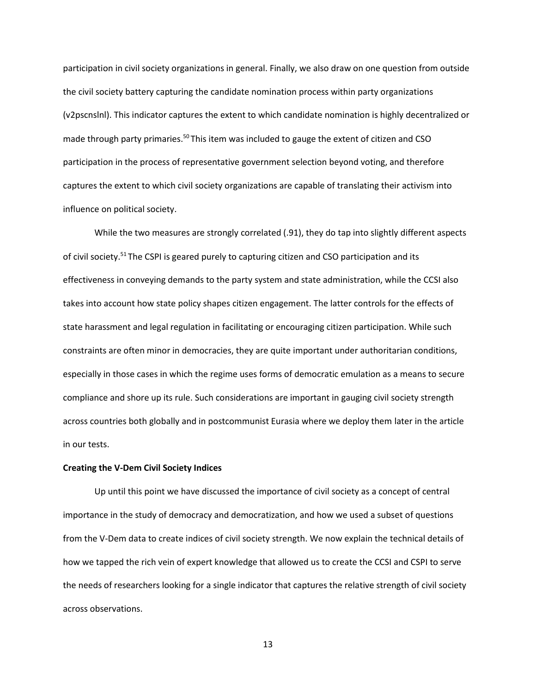participation in civil society organizations in general. Finally, we also draw on one question from outside the civil society battery capturing the candidate nomination process within party organizations (v2pscnslnl). This indicator captures the extent to which candidate nomination is highly decentralized or made through party primaries.<sup>50</sup>This item was included to gauge the extent of citizen and CSO participation in the process of representative government selection beyond voting, and therefore captures the extent to which civil society organizations are capable of translating their activism into influence on political society.

While the two measures are strongly correlated (.91), they do tap into slightly different aspects of civil society.<sup>51</sup>The CSPI is geared purely to capturing citizen and CSO participation and its effectiveness in conveying demands to the party system and state administration, while the CCSI also takes into account how state policy shapes citizen engagement. The latter controls for the effects of state harassment and legal regulation in facilitating or encouraging citizen participation. While such constraints are often minor in democracies, they are quite important under authoritarian conditions, especially in those cases in which the regime uses forms of democratic emulation as a means to secure compliance and shore up its rule. Such considerations are important in gauging civil society strength across countries both globally and in postcommunist Eurasia where we deploy them later in the article in our tests.

### **Creating the V-Dem Civil Society Indices**

Up until this point we have discussed the importance of civil society as a concept of central importance in the study of democracy and democratization, and how we used a subset of questions from the V-Dem data to create indices of civil society strength. We now explain the technical details of how we tapped the rich vein of expert knowledge that allowed us to create the CCSI and CSPI to serve the needs of researchers looking for a single indicator that captures the relative strength of civil society across observations.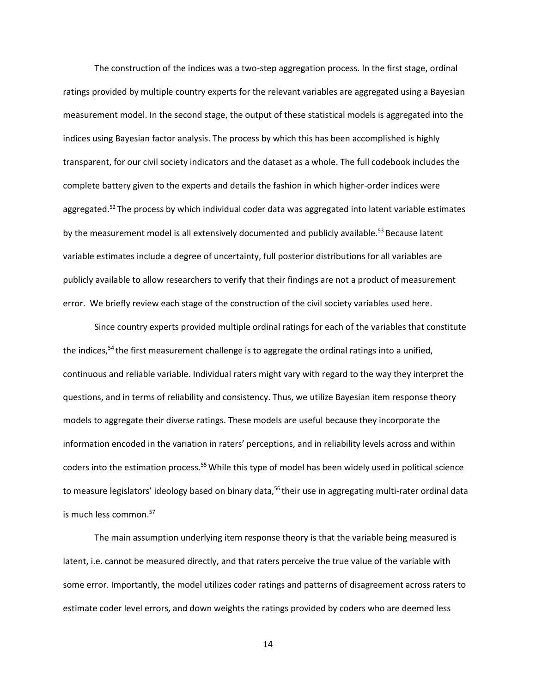The construction of the indices was a two-step aggregation process. In the first stage, ordinal ratings provided by multiple country experts for the relevant variables are aggregated using a Bayesian measurement model. In the second stage, the output of these statistical models is aggregated into the indices using Bayesian factor analysis. The process by which this has been accomplished is highly transparent, for our civil society indicators and the dataset as a whole. The full codebook includes the complete battery given to the experts and details the fashion in which higher-order indices were aggregated.<sup>52</sup>The process by which individual coder data was aggregated into latent variable estimates by the measurement model is all extensively documented and publicly available.<sup>53</sup> Because latent variable estimates include a degree of uncertainty, full posterior distributions for all variables are publicly available to allow researchers to verify that their findings are not a product of measurement error. We briefly review each stage of the construction of the civil society variables used here.

Since country experts provided multiple ordinal ratings for each of the variables that constitute the indices,<sup>54</sup> the first measurement challenge is to aggregate the ordinal ratings into a unified, continuous and reliable variable. Individual raters might vary with regard to the way they interpret the questions, and in terms of reliability and consistency. Thus, we utilize Bayesian item response theory models to aggregate their diverse ratings. These models are useful because they incorporate the information encoded in the variation in raters' perceptions, and in reliability levels across and within coders into the estimation process.<sup>55</sup>While this type of model has been widely used in political science to measure legislators' ideology based on binary data,<sup>56</sup> their use in aggregating multi-rater ordinal data is much less common.<sup>57</sup>

The main assumption underlying item response theory is that the variable being measured is latent, i.e. cannot be measured directly, and that raters perceive the true value of the variable with some error. Importantly, the model utilizes coder ratings and patterns of disagreement across raters to estimate coder level errors, and down weights the ratings provided by coders who are deemed less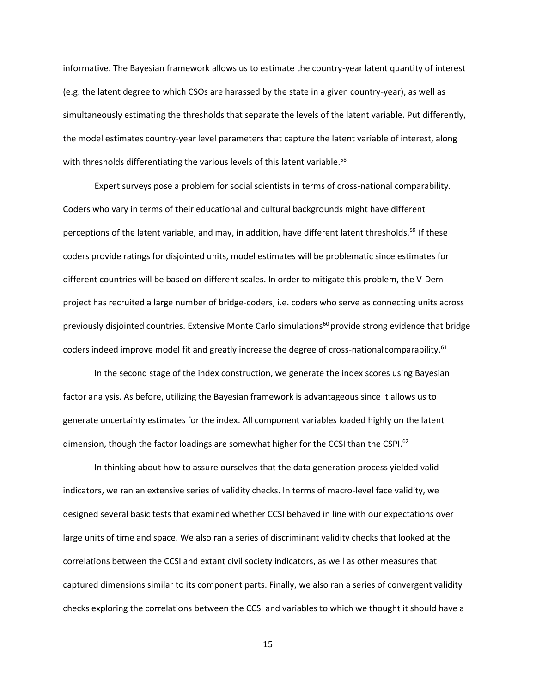informative. The Bayesian framework allows us to estimate the country-year latent quantity of interest (e.g. the latent degree to which CSOs are harassed by the state in a given country-year), as well as simultaneously estimating the thresholds that separate the levels of the latent variable. Put differently, the model estimates country-year level parameters that capture the latent variable of interest, along with thresholds differentiating the various levels of this latent variable.<sup>58</sup>

Expert surveys pose a problem for social scientists in terms of cross-national comparability. Coders who vary in terms of their educational and cultural backgrounds might have different perceptions of the latent variable, and may, in addition, have different latent thresholds.<sup>59</sup> If these coders provide ratings for disjointed units, model estimates will be problematic since estimates for different countries will be based on different scales. In order to mitigate this problem, the V-Dem project has recruited a large number of bridge-coders, i.e. coders who serve as connecting units across previously disjointed countries. Extensive Monte Carlo simulations<sup>60</sup> provide strong evidence that bridge coders indeed improve model fit and greatly increase the degree of cross-national comparability.<sup>61</sup>

In the second stage of the index construction, we generate the index scores using Bayesian factor analysis. As before, utilizing the Bayesian framework is advantageous since it allows us to generate uncertainty estimates for the index. All component variables loaded highly on the latent dimension, though the factor loadings are somewhat higher for the CCSI than the CSPI.<sup>62</sup>

In thinking about how to assure ourselves that the data generation process yielded valid indicators, we ran an extensive series of validity checks. In terms of macro-level face validity, we designed several basic tests that examined whether CCSI behaved in line with our expectations over large units of time and space. We also ran a series of discriminant validity checks that looked at the correlations between the CCSI and extant civil society indicators, as well as other measures that captured dimensions similar to its component parts. Finally, we also ran a series of convergent validity checks exploring the correlations between the CCSI and variables to which we thought it should have a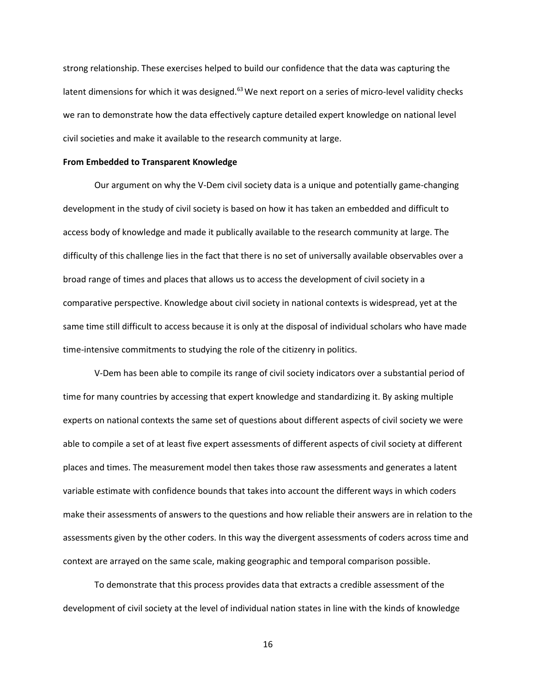strong relationship. These exercises helped to build our confidence that the data was capturing the latent dimensions for which it was designed.<sup>63</sup> We next report on a series of micro-level validity checks we ran to demonstrate how the data effectively capture detailed expert knowledge on national level civil societies and make it available to the research community at large.

### **From Embedded to Transparent Knowledge**

Our argument on why the V-Dem civil society data is a unique and potentially game-changing development in the study of civil society is based on how it has taken an embedded and difficult to access body of knowledge and made it publically available to the research community at large. The difficulty of this challenge lies in the fact that there is no set of universally available observables over a broad range of times and places that allows us to access the development of civil society in a comparative perspective. Knowledge about civil society in national contexts is widespread, yet at the same time still difficult to access because it is only at the disposal of individual scholars who have made time-intensive commitments to studying the role of the citizenry in politics.

V-Dem has been able to compile its range of civil society indicators over a substantial period of time for many countries by accessing that expert knowledge and standardizing it. By asking multiple experts on national contexts the same set of questions about different aspects of civil society we were able to compile a set of at least five expert assessments of different aspects of civil society at different places and times. The measurement model then takes those raw assessments and generates a latent variable estimate with confidence bounds that takes into account the different ways in which coders make their assessments of answers to the questions and how reliable their answers are in relation to the assessments given by the other coders. In this way the divergent assessments of coders across time and context are arrayed on the same scale, making geographic and temporal comparison possible.

To demonstrate that this process provides data that extracts a credible assessment of the development of civil society at the level of individual nation states in line with the kinds of knowledge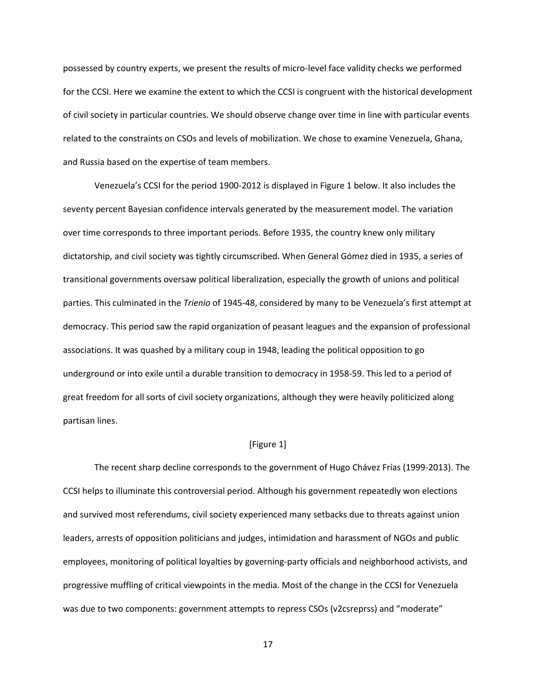possessed by country experts, we present the results of micro-level face validity checks we performed for the CCSI. Here we examine the extent to which the CCSI is congruent with the historical development of civil society in particular countries. We should observe change over time in line with particular events related to the constraints on CSOs and levels of mobilization. We chose to examine Venezuela, Ghana, and Russia based on the expertise of team members.

Venezuela's CCSI for the period 1900-2012 is displayed in Figure 1 below. It also includes the seventy percent Bayesian confidence intervals generated by the measurement model. The variation over time corresponds to three important periods. Before 1935, the country knew only military dictatorship, and civil society was tightly circumscribed. When General Gómez died in 1935, a series of transitional governments oversaw political liberalization, especially the growth of unions and political parties. This culminated in the *Trienio* of 1945-48, considered by many to be Venezuela's first attempt at democracy. This period saw the rapid organization of peasant leagues and the expansion of professional associations. It was quashed by a military coup in 1948, leading the political opposition to go underground or into exile until a durable transition to democracy in 1958-59. This led to a period of great freedom for all sorts of civil society organizations, although they were heavily politicized along partisan lines.

## [Figure 1]

The recent sharp decline corresponds to the government of Hugo Chávez Frías (1999-2013). The CCSI helps to illuminate this controversial period. Although his government repeatedly won elections and survived most referendums, civil society experienced many setbacks due to threats against union leaders, arrests of opposition politicians and judges, intimidation and harassment of NGOs and public employees, monitoring of political loyalties by governing-party officials and neighborhood activists, and progressive muffling of critical viewpoints in the media. Most of the change in the CCSI for Venezuela was due to two components: government attempts to repress CSOs (v2csreprss) and "moderate"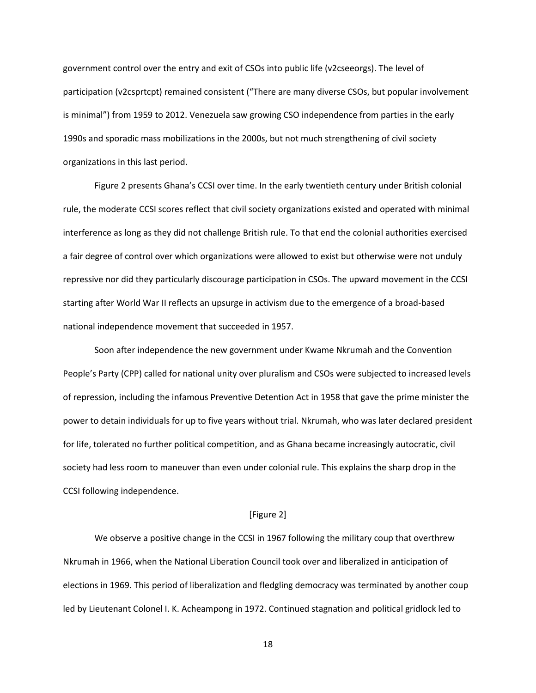government control over the entry and exit of CSOs into public life (v2cseeorgs). The level of participation (v2csprtcpt) remained consistent ("There are many diverse CSOs, but popular involvement is minimal") from 1959 to 2012. Venezuela saw growing CSO independence from parties in the early 1990s and sporadic mass mobilizations in the 2000s, but not much strengthening of civil society organizations in this last period.

Figure 2 presents Ghana's CCSI over time. In the early twentieth century under British colonial rule, the moderate CCSI scores reflect that civil society organizations existed and operated with minimal interference as long as they did not challenge British rule. To that end the colonial authorities exercised a fair degree of control over which organizations were allowed to exist but otherwise were not unduly repressive nor did they particularly discourage participation in CSOs. The upward movement in the CCSI starting after World War II reflects an upsurge in activism due to the emergence of a broad-based national independence movement that succeeded in 1957.

Soon after independence the new government under Kwame Nkrumah and the Convention People's Party (CPP) called for national unity over pluralism and CSOs were subjected to increased levels of repression, including the infamous Preventive Detention Act in 1958 that gave the prime minister the power to detain individuals for up to five years without trial. Nkrumah, who was later declared president for life, tolerated no further political competition, and as Ghana became increasingly autocratic, civil society had less room to maneuver than even under colonial rule. This explains the sharp drop in the CCSI following independence.

## [Figure 2]

We observe a positive change in the CCSI in 1967 following the military coup that overthrew Nkrumah in 1966, when the National Liberation Council took over and liberalized in anticipation of elections in 1969. This period of liberalization and fledgling democracy was terminated by another coup led by Lieutenant Colonel I. K. Acheampong in 1972. Continued stagnation and political gridlock led to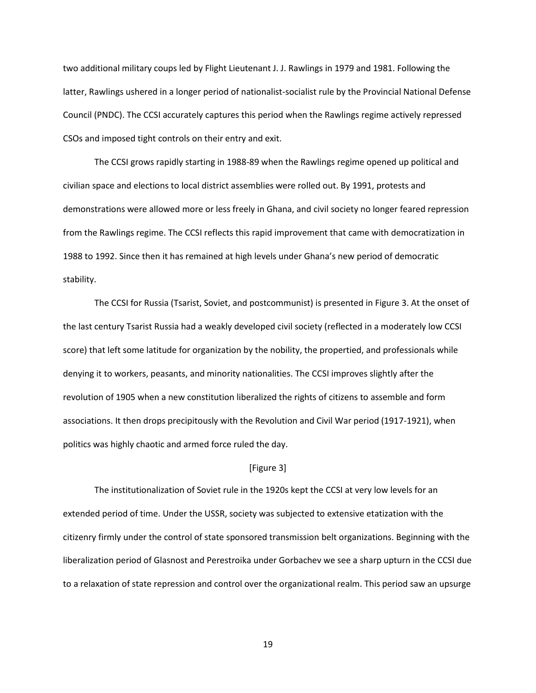two additional military coups led by Flight Lieutenant J. J. Rawlings in 1979 and 1981. Following the latter, Rawlings ushered in a longer period of nationalist-socialist rule by the Provincial National Defense Council (PNDC). The CCSI accurately captures this period when the Rawlings regime actively repressed CSOs and imposed tight controls on their entry and exit.

The CCSI grows rapidly starting in 1988-89 when the Rawlings regime opened up political and civilian space and elections to local district assemblies were rolled out. By 1991, protests and demonstrations were allowed more or less freely in Ghana, and civil society no longer feared repression from the Rawlings regime. The CCSI reflects this rapid improvement that came with democratization in 1988 to 1992. Since then it has remained at high levels under Ghana's new period of democratic stability.

The CCSI for Russia (Tsarist, Soviet, and postcommunist) is presented in Figure 3. At the onset of the last century Tsarist Russia had a weakly developed civil society (reflected in a moderately low CCSI score) that left some latitude for organization by the nobility, the propertied, and professionals while denying it to workers, peasants, and minority nationalities. The CCSI improves slightly after the revolution of 1905 when a new constitution liberalized the rights of citizens to assemble and form associations. It then drops precipitously with the Revolution and Civil War period (1917-1921), when politics was highly chaotic and armed force ruled the day.

### [Figure 3]

The institutionalization of Soviet rule in the 1920s kept the CCSI at very low levels for an extended period of time. Under the USSR, society was subjected to extensive etatization with the citizenry firmly under the control of state sponsored transmission belt organizations. Beginning with the liberalization period of Glasnost and Perestroika under Gorbachev we see a sharp upturn in the CCSI due to a relaxation of state repression and control over the organizational realm. This period saw an upsurge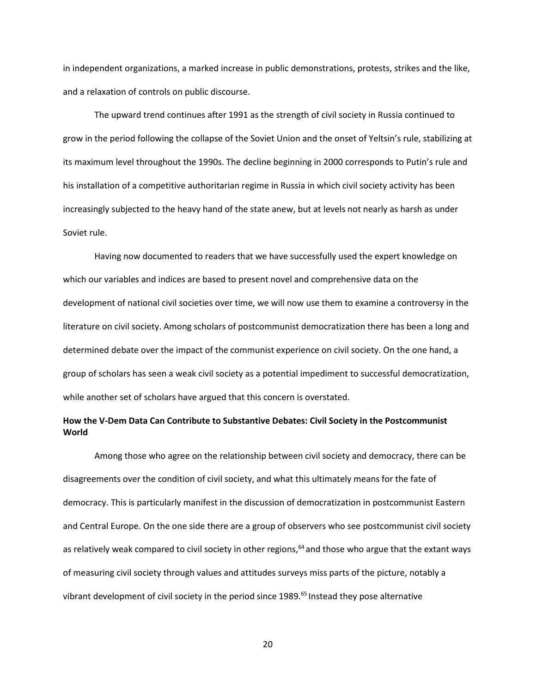in independent organizations, a marked increase in public demonstrations, protests, strikes and the like, and a relaxation of controls on public discourse.

The upward trend continues after 1991 as the strength of civil society in Russia continued to grow in the period following the collapse of the Soviet Union and the onset of Yeltsin's rule, stabilizing at its maximum level throughout the 1990s. The decline beginning in 2000 corresponds to Putin's rule and his installation of a competitive authoritarian regime in Russia in which civil society activity has been increasingly subjected to the heavy hand of the state anew, but at levels not nearly as harsh as under Soviet rule.

Having now documented to readers that we have successfully used the expert knowledge on which our variables and indices are based to present novel and comprehensive data on the development of national civil societies over time, we will now use them to examine a controversy in the literature on civil society. Among scholars of postcommunist democratization there has been a long and determined debate over the impact of the communist experience on civil society. On the one hand, a group of scholars has seen a weak civil society as a potential impediment to successful democratization, while another set of scholars have argued that this concern is overstated.

## **How the V-Dem Data Can Contribute to Substantive Debates: Civil Society in the Postcommunist World**

Among those who agree on the relationship between civil society and democracy, there can be disagreements over the condition of civil society, and what this ultimately means for the fate of democracy. This is particularly manifest in the discussion of democratization in postcommunist Eastern and Central Europe. On the one side there are a group of observers who see postcommunist civil society as relatively weak compared to civil society in other regions,  $64$  and those who argue that the extant ways of measuring civil society through values and attitudes surveys miss parts of the picture, notably a vibrant development of civil society in the period since 1989.<sup>65</sup> Instead they pose alternative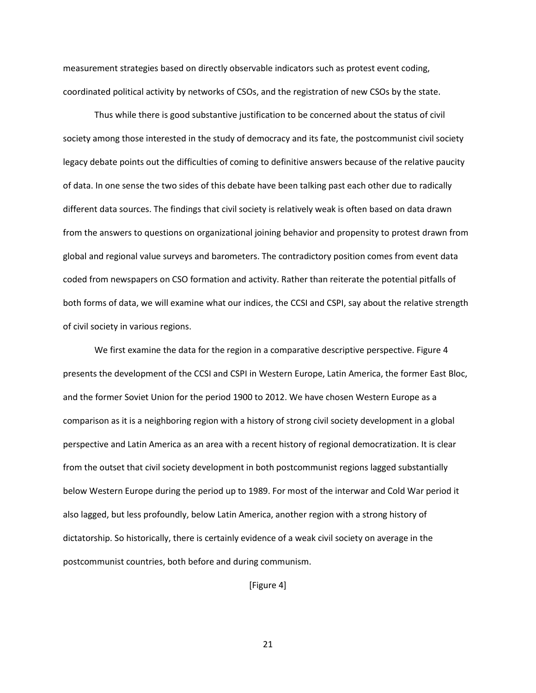measurement strategies based on directly observable indicators such as protest event coding, coordinated political activity by networks of CSOs, and the registration of new CSOs by the state.

Thus while there is good substantive justification to be concerned about the status of civil society among those interested in the study of democracy and its fate, the postcommunist civil society legacy debate points out the difficulties of coming to definitive answers because of the relative paucity of data. In one sense the two sides of this debate have been talking past each other due to radically different data sources. The findings that civil society is relatively weak is often based on data drawn from the answers to questions on organizational joining behavior and propensity to protest drawn from global and regional value surveys and barometers. The contradictory position comes from event data coded from newspapers on CSO formation and activity. Rather than reiterate the potential pitfalls of both forms of data, we will examine what our indices, the CCSI and CSPI, say about the relative strength of civil society in various regions.

We first examine the data for the region in a comparative descriptive perspective. Figure 4 presents the development of the CCSI and CSPI in Western Europe, Latin America, the former East Bloc, and the former Soviet Union for the period 1900 to 2012. We have chosen Western Europe as a comparison as it is a neighboring region with a history of strong civil society development in a global perspective and Latin America as an area with a recent history of regional democratization. It is clear from the outset that civil society development in both postcommunist regions lagged substantially below Western Europe during the period up to 1989. For most of the interwar and Cold War period it also lagged, but less profoundly, below Latin America, another region with a strong history of dictatorship. So historically, there is certainly evidence of a weak civil society on average in the postcommunist countries, both before and during communism.

[Figure 4]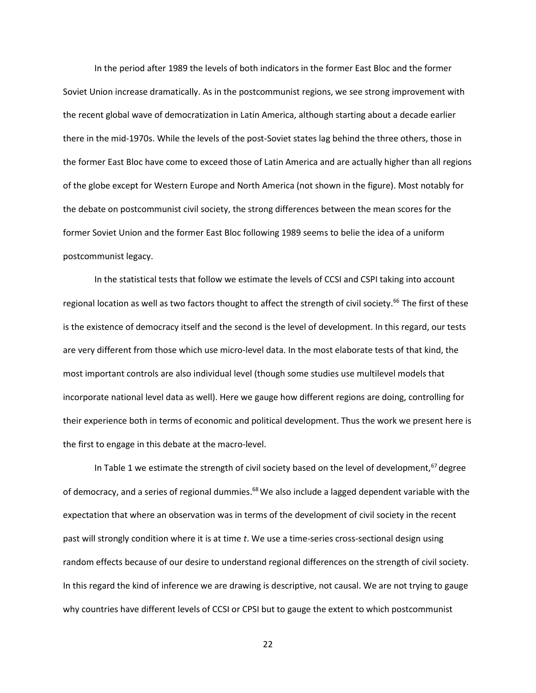In the period after 1989 the levels of both indicators in the former East Bloc and the former Soviet Union increase dramatically. As in the postcommunist regions, we see strong improvement with the recent global wave of democratization in Latin America, although starting about a decade earlier there in the mid-1970s. While the levels of the post-Soviet states lag behind the three others, those in the former East Bloc have come to exceed those of Latin America and are actually higher than all regions of the globe except for Western Europe and North America (not shown in the figure). Most notably for the debate on postcommunist civil society, the strong differences between the mean scores for the former Soviet Union and the former East Bloc following 1989 seems to belie the idea of a uniform postcommunist legacy.

In the statistical tests that follow we estimate the levels of CCSI and CSPI taking into account regional location as well as two factors thought to affect the strength of civil society.<sup>66</sup> The first of these is the existence of democracy itself and the second is the level of development. In this regard, our tests are very different from those which use micro-level data. In the most elaborate tests of that kind, the most important controls are also individual level (though some studies use multilevel models that incorporate national level data as well). Here we gauge how different regions are doing, controlling for their experience both in terms of economic and political development. Thus the work we present here is the first to engage in this debate at the macro-level.

In Table 1 we estimate the strength of civil society based on the level of development, <sup>67</sup> degree of democracy, and a series of regional dummies.<sup>68</sup> We also include a lagged dependent variable with the expectation that where an observation was in terms of the development of civil society in the recent past will strongly condition where it is at time *t*. We use a time-series cross-sectional design using random effects because of our desire to understand regional differences on the strength of civil society. In this regard the kind of inference we are drawing is descriptive, not causal. We are not trying to gauge why countries have different levels of CCSI or CPSI but to gauge the extent to which postcommunist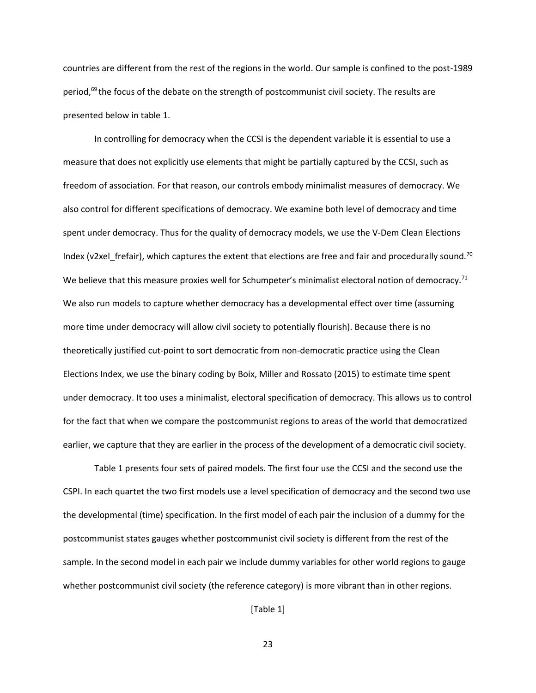countries are different from the rest of the regions in the world. Our sample is confined to the post-1989 period,<sup>69</sup> the focus of the debate on the strength of postcommunist civil society. The results are presented below in table 1.

In controlling for democracy when the CCSI is the dependent variable it is essential to use a measure that does not explicitly use elements that might be partially captured by the CCSI, such as freedom of association. For that reason, our controls embody minimalist measures of democracy. We also control for different specifications of democracy. We examine both level of democracy and time spent under democracy. Thus for the quality of democracy models, we use the V-Dem Clean Elections Index (v2xel frefair), which captures the extent that elections are free and fair and procedurally sound.<sup>70</sup> We believe that this measure proxies well for Schumpeter's minimalist electoral notion of democracy.<sup>71</sup> We also run models to capture whether democracy has a developmental effect over time (assuming more time under democracy will allow civil society to potentially flourish). Because there is no theoretically justified cut-point to sort democratic from non-democratic practice using the Clean Elections Index, we use the binary coding by Boix, Miller and Rossato (2015) to estimate time spent under democracy. It too uses a minimalist, electoral specification of democracy. This allows us to control for the fact that when we compare the postcommunist regions to areas of the world that democratized earlier, we capture that they are earlier in the process of the development of a democratic civil society.

Table 1 presents four sets of paired models. The first four use the CCSI and the second use the CSPI. In each quartet the two first models use a level specification of democracy and the second two use the developmental (time) specification. In the first model of each pair the inclusion of a dummy for the postcommunist states gauges whether postcommunist civil society is different from the rest of the sample. In the second model in each pair we include dummy variables for other world regions to gauge whether postcommunist civil society (the reference category) is more vibrant than in other regions.

[Table 1]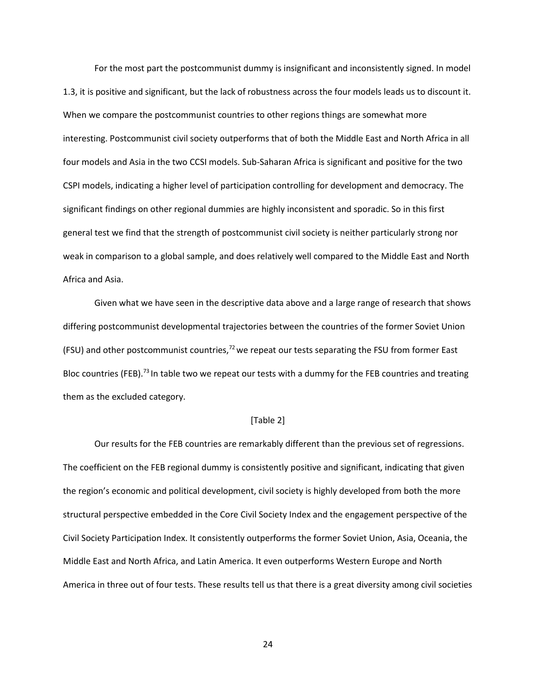For the most part the postcommunist dummy is insignificant and inconsistently signed. In model 1.3, it is positive and significant, but the lack of robustness across the four models leads us to discount it. When we compare the postcommunist countries to other regions things are somewhat more interesting. Postcommunist civil society outperforms that of both the Middle East and North Africa in all four models and Asia in the two CCSI models. Sub-Saharan Africa is significant and positive for the two CSPI models, indicating a higher level of participation controlling for development and democracy. The significant findings on other regional dummies are highly inconsistent and sporadic. So in this first general test we find that the strength of postcommunist civil society is neither particularly strong nor weak in comparison to a global sample, and does relatively well compared to the Middle East and North Africa and Asia.

Given what we have seen in the descriptive data above and a large range of research that shows differing postcommunist developmental trajectories between the countries of the former Soviet Union (FSU) and other postcommunist countries, $72$  we repeat our tests separating the FSU from former East Bloc countries (FEB).<sup>73</sup> In table two we repeat our tests with a dummy for the FEB countries and treating them as the excluded category.

#### [Table 2]

Our results for the FEB countries are remarkably different than the previous set of regressions. The coefficient on the FEB regional dummy is consistently positive and significant, indicating that given the region's economic and political development, civil society is highly developed from both the more structural perspective embedded in the Core Civil Society Index and the engagement perspective of the Civil Society Participation Index. It consistently outperforms the former Soviet Union, Asia, Oceania, the Middle East and North Africa, and Latin America. It even outperforms Western Europe and North America in three out of four tests. These results tell us that there is a great diversity among civil societies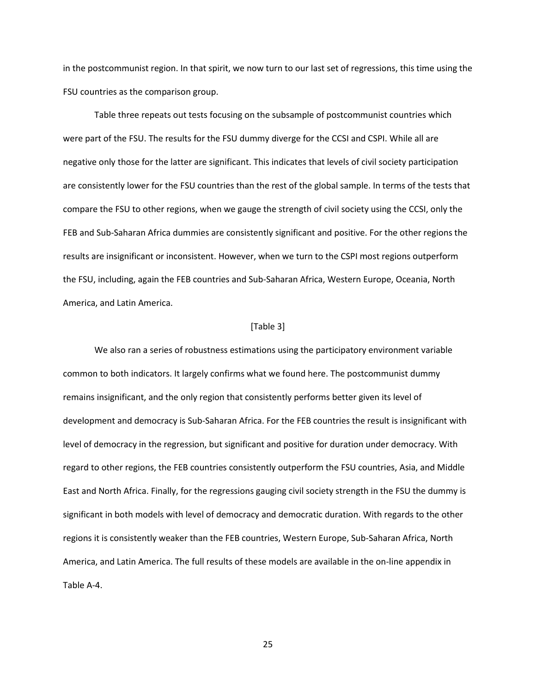in the postcommunist region. In that spirit, we now turn to our last set of regressions, this time using the FSU countries as the comparison group.

Table three repeats out tests focusing on the subsample of postcommunist countries which were part of the FSU. The results for the FSU dummy diverge for the CCSI and CSPI. While all are negative only those for the latter are significant. This indicates that levels of civil society participation are consistently lower for the FSU countries than the rest of the global sample. In terms of the tests that compare the FSU to other regions, when we gauge the strength of civil society using the CCSI, only the FEB and Sub-Saharan Africa dummies are consistently significant and positive. For the other regions the results are insignificant or inconsistent. However, when we turn to the CSPI most regions outperform the FSU, including, again the FEB countries and Sub-Saharan Africa, Western Europe, Oceania, North America, and Latin America.

## [Table 3]

We also ran a series of robustness estimations using the participatory environment variable common to both indicators. It largely confirms what we found here. The postcommunist dummy remains insignificant, and the only region that consistently performs better given its level of development and democracy is Sub-Saharan Africa. For the FEB countries the result is insignificant with level of democracy in the regression, but significant and positive for duration under democracy. With regard to other regions, the FEB countries consistently outperform the FSU countries, Asia, and Middle East and North Africa. Finally, for the regressions gauging civil society strength in the FSU the dummy is significant in both models with level of democracy and democratic duration. With regards to the other regions it is consistently weaker than the FEB countries, Western Europe, Sub-Saharan Africa, North America, and Latin America. The full results of these models are available in the on-line appendix in Table A-4.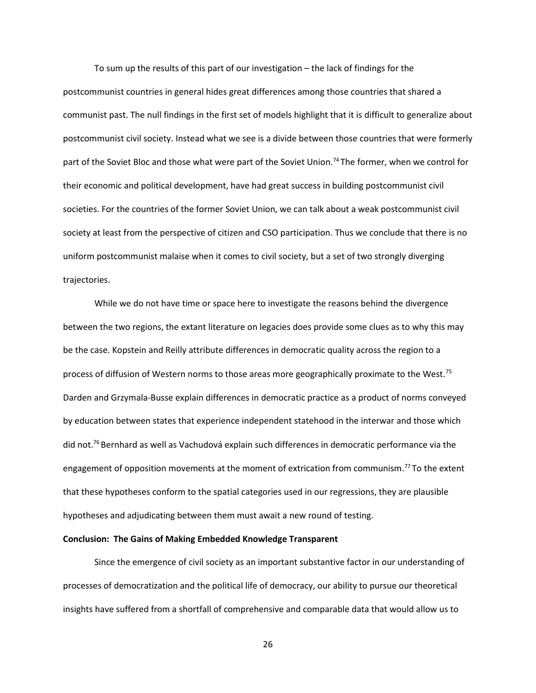To sum up the results of this part of our investigation – the lack of findings for the postcommunist countries in general hides great differences among those countries that shared a communist past. The null findings in the first set of models highlight that it is difficult to generalize about postcommunist civil society. Instead what we see is a divide between those countries that were formerly part of the Soviet Bloc and those what were part of the Soviet Union.<sup>74</sup> The former, when we control for their economic and political development, have had great success in building postcommunist civil societies. For the countries of the former Soviet Union, we can talk about a weak postcommunist civil society at least from the perspective of citizen and CSO participation. Thus we conclude that there is no uniform postcommunist malaise when it comes to civil society, but a set of two strongly diverging trajectories.

While we do not have time or space here to investigate the reasons behind the divergence between the two regions, the extant literature on legacies does provide some clues as to why this may be the case. Kopstein and Reilly attribute differences in democratic quality across the region to a process of diffusion of Western norms to those areas more geographically proximate to the West.<sup>75</sup> Darden and Grzymala-Busse explain differences in democratic practice as a product of norms conveyed by education between states that experience independent statehood in the interwar and those which did not.<sup>76</sup> Bernhard as well as Vachudová explain such differences in democratic performance via the engagement of opposition movements at the moment of extrication from communism.<sup>77</sup> To the extent that these hypotheses conform to the spatial categories used in our regressions, they are plausible hypotheses and adjudicating between them must await a new round of testing.

### **Conclusion: The Gains of Making Embedded Knowledge Transparent**

Since the emergence of civil society as an important substantive factor in our understanding of processes of democratization and the political life of democracy, our ability to pursue our theoretical insights have suffered from a shortfall of comprehensive and comparable data that would allow us to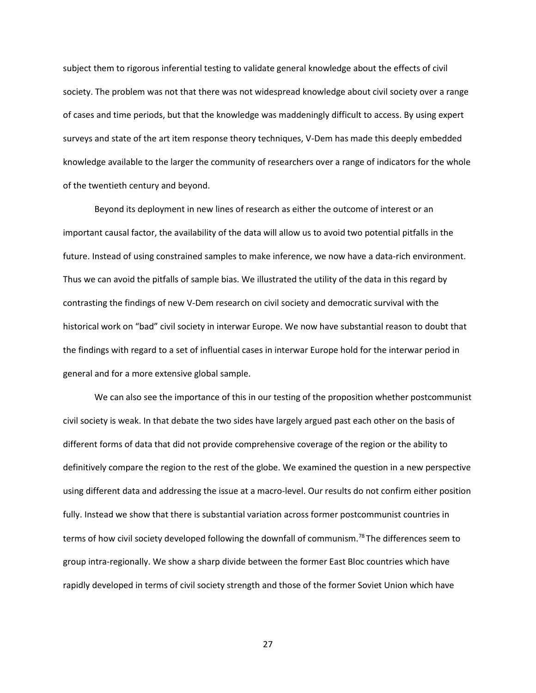subject them to rigorous inferential testing to validate general knowledge about the effects of civil society. The problem was not that there was not widespread knowledge about civil society over a range of cases and time periods, but that the knowledge was maddeningly difficult to access. By using expert surveys and state of the art item response theory techniques, V-Dem has made this deeply embedded knowledge available to the larger the community of researchers over a range of indicators for the whole of the twentieth century and beyond.

Beyond its deployment in new lines of research as either the outcome of interest or an important causal factor, the availability of the data will allow us to avoid two potential pitfalls in the future. Instead of using constrained samples to make inference, we now have a data-rich environment. Thus we can avoid the pitfalls of sample bias. We illustrated the utility of the data in this regard by contrasting the findings of new V-Dem research on civil society and democratic survival with the historical work on "bad" civil society in interwar Europe. We now have substantial reason to doubt that the findings with regard to a set of influential cases in interwar Europe hold for the interwar period in general and for a more extensive global sample.

We can also see the importance of this in our testing of the proposition whether postcommunist civil society is weak. In that debate the two sides have largely argued past each other on the basis of different forms of data that did not provide comprehensive coverage of the region or the ability to definitively compare the region to the rest of the globe. We examined the question in a new perspective using different data and addressing the issue at a macro-level. Our results do not confirm either position fully. Instead we show that there is substantial variation across former postcommunist countries in terms of how civil society developed following the downfall of communism.<sup>78</sup> The differences seem to group intra-regionally. We show a sharp divide between the former East Bloc countries which have rapidly developed in terms of civil society strength and those of the former Soviet Union which have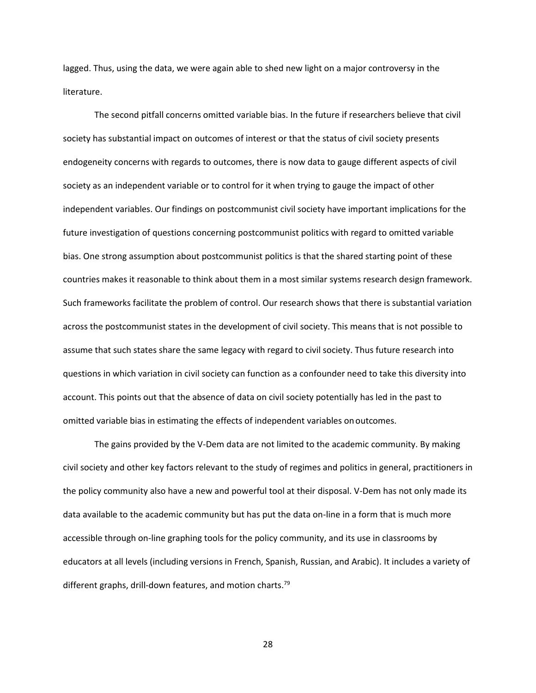lagged. Thus, using the data, we were again able to shed new light on a major controversy in the literature.

The second pitfall concerns omitted variable bias. In the future if researchers believe that civil society has substantial impact on outcomes of interest or that the status of civil society presents endogeneity concerns with regards to outcomes, there is now data to gauge different aspects of civil society as an independent variable or to control for it when trying to gauge the impact of other independent variables. Our findings on postcommunist civil society have important implications for the future investigation of questions concerning postcommunist politics with regard to omitted variable bias. One strong assumption about postcommunist politics is that the shared starting point of these countries makes it reasonable to think about them in a most similar systems research design framework. Such frameworks facilitate the problem of control. Our research shows that there is substantial variation across the postcommunist states in the development of civil society. This means that is not possible to assume that such states share the same legacy with regard to civil society. Thus future research into questions in which variation in civil society can function as a confounder need to take this diversity into account. This points out that the absence of data on civil society potentially has led in the past to omitted variable bias in estimating the effects of independent variables onoutcomes.

The gains provided by the V-Dem data are not limited to the academic community. By making civil society and other key factors relevant to the study of regimes and politics in general, practitioners in the policy community also have a new and powerful tool at their disposal. V-Dem has not only made its data available to the academic community but has put the data on-line in a form that is much more accessible through on-line graphing tools for the policy community, and its use in classrooms by educators at all levels (including versions in French, Spanish, Russian, and Arabic). It includes a variety of different graphs, drill-down features, and motion charts.<sup>79</sup>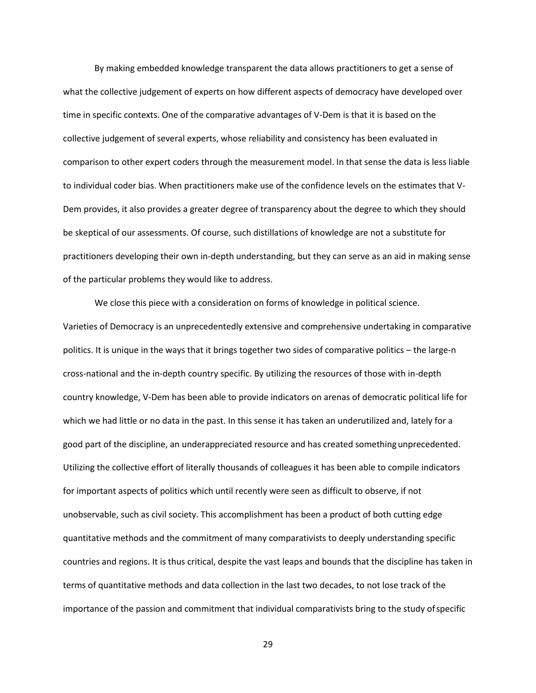By making embedded knowledge transparent the data allows practitioners to get a sense of what the collective judgement of experts on how different aspects of democracy have developed over time in specific contexts. One of the comparative advantages of V-Dem is that it is based on the collective judgement of several experts, whose reliability and consistency has been evaluated in comparison to other expert coders through the measurement model. In that sense the data is less liable to individual coder bias. When practitioners make use of the confidence levels on the estimates that V-Dem provides, it also provides a greater degree of transparency about the degree to which they should be skeptical of our assessments. Of course, such distillations of knowledge are not a substitute for practitioners developing their own in-depth understanding, but they can serve as an aid in making sense of the particular problems they would like to address.

We close this piece with a consideration on forms of knowledge in political science. Varieties of Democracy is an unprecedentedly extensive and comprehensive undertaking in comparative politics. It is unique in the ways that it brings together two sides of comparative politics – the large-n cross-national and the in-depth country specific. By utilizing the resources of those with in-depth country knowledge, V-Dem has been able to provide indicators on arenas of democratic political life for which we had little or no data in the past. In this sense it has taken an underutilized and, lately for a good part of the discipline, an underappreciated resource and has created somethingunprecedented. Utilizing the collective effort of literally thousands of colleagues it has been able to compile indicators for important aspects of politics which until recently were seen as difficult to observe, if not unobservable, such as civil society. This accomplishment has been a product of both cutting edge quantitative methods and the commitment of many comparativists to deeply understanding specific countries and regions. It is thus critical, despite the vast leaps and bounds that the discipline has taken in terms of quantitative methods and data collection in the last two decades, to not lose track of the importance of the passion and commitment that individual comparativists bring to the study ofspecific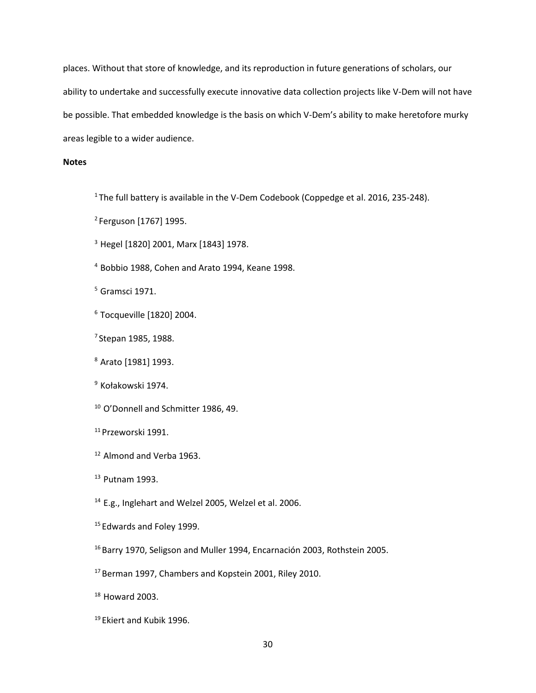places. Without that store of knowledge, and its reproduction in future generations of scholars, our ability to undertake and successfully execute innovative data collection projects like V-Dem will not have be possible. That embedded knowledge is the basis on which V-Dem's ability to make heretofore murky areas legible to a wider audience.

### **Notes**

<sup>1</sup>The full battery is available in the V-Dem Codebook (Coppedge et al. 2016, 235-248).

<sup>2</sup>Ferguson [1767] 1995.

- <sup>3</sup> Hegel [1820] 2001, Marx [1843] 1978.
- <sup>4</sup> Bobbio 1988, Cohen and Arato 1994, Keane 1998.

 $5$  Gramsci 1971.

 $6$  Tocqueville [1820] 2004.

<sup>7</sup>Stepan 1985, 1988.

<sup>8</sup>Arato [1981] 1993.

<sup>9</sup> Kołakowski 1974.

<sup>10</sup> O'Donnell and Schmitter 1986, 49.

<sup>11</sup> Przeworski 1991.

<sup>12</sup> Almond and Verba 1963.

 $13$  Putnam 1993.

<sup>14</sup> E.g., Inglehart and Welzel 2005, Welzel et al. 2006.

<sup>15</sup> Edwards and Foley 1999.

<sup>16</sup> Barry 1970, Seligson and Muller 1994, Encarnación 2003, Rothstein 2005.

<sup>17</sup> Berman 1997, Chambers and Kopstein 2001, Riley 2010.

 $18$  Howard 2003.

<sup>19</sup> Ekiert and Kubik 1996.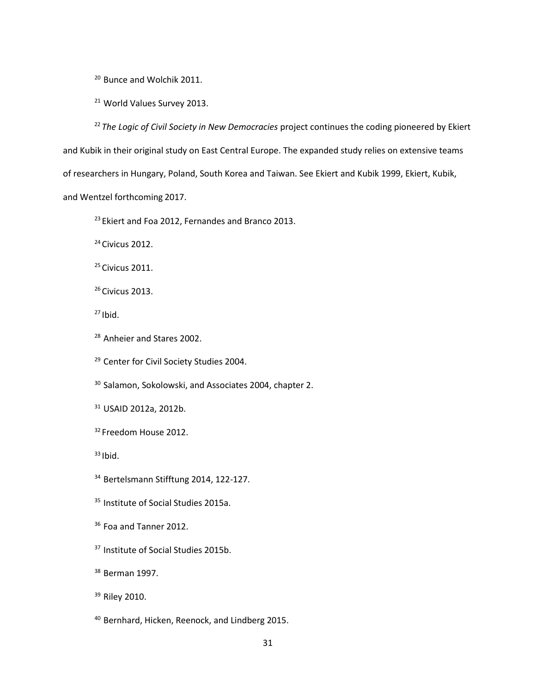<sup>20</sup> Bunce and Wolchik 2011.

<sup>21</sup> World Values Survey 2013.

<sup>22</sup> The Logic of Civil Society in New Democracies project continues the coding pioneered by Ekiert and Kubik in their original study on East Central Europe. The expanded study relies on extensive teams of researchers in Hungary, Poland, South Korea and Taiwan. See Ekiert and Kubik 1999, Ekiert, Kubik, and Wentzel forthcoming 2017.

<sup>23</sup> Ekiert and Foa 2012, Fernandes and Branco 2013.

<sup>24</sup> Civicus 2012.

 $25$ Civicus 2011.

<sup>26</sup> Civicus 2013.

 $27$ Ibid.

<sup>28</sup> Anheier and Stares 2002.

<sup>29</sup> Center for Civil Society Studies 2004.

<sup>30</sup> Salamon, Sokolowski, and Associates 2004, chapter 2.

<sup>31</sup> USAID 2012a, 2012b.

<sup>32</sup> Freedom House 2012.

 $33$  Ibid.

<sup>34</sup> Bertelsmann Stifftung 2014, 122-127.

<sup>35</sup> Institute of Social Studies 2015a.

<sup>36</sup> Foa and Tanner 2012.

<sup>37</sup> Institute of Social Studies 2015b.

<sup>38</sup> Berman 1997.

<sup>39</sup> Riley 2010.

<sup>40</sup> Bernhard, Hicken, Reenock, and Lindberg 2015.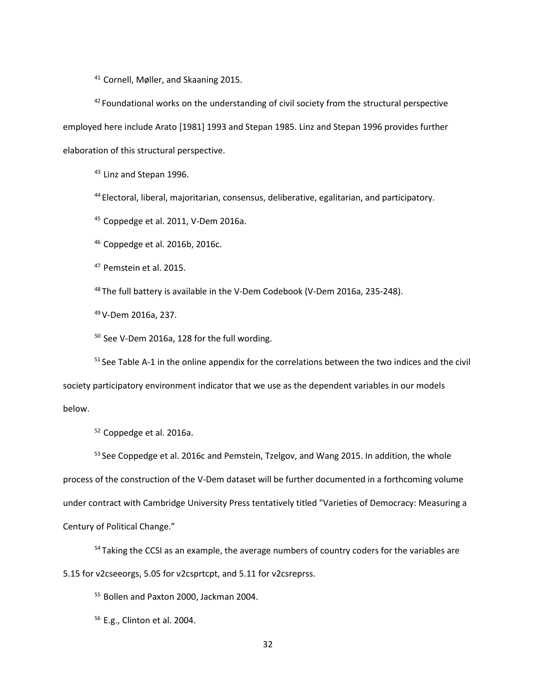<sup>41</sup> Cornell, Møller, and Skaaning 2015.

 $42$  Foundational works on the understanding of civil society from the structural perspective employed here include Arato [1981] 1993 and Stepan 1985. Linz and Stepan 1996 provides further elaboration of this structural perspective.

43 Linz and Stepan 1996.

44 Electoral, liberal, majoritarian, consensus, deliberative, egalitarian, and participatory.

 $45$  Coppedge et al. 2011, V-Dem 2016a.

46 Coppedge et al. 2016b, 2016c.

<sup>47</sup> Pemstein et al. 2015.

<sup>48</sup> The full battery is available in the V-Dem Codebook (V-Dem 2016a, 235-248).

<sup>49</sup>V-Dem 2016a, 237.

<sup>50</sup> See V-Dem 2016a, 128 for the full wording.

<sup>51</sup> See Table A-1 in the online appendix for the correlations between the two indices and the civil society participatory environment indicator that we use as the dependent variables in our models below.

<sup>52</sup> Coppedge et al. 2016a.

<sup>53</sup> See Coppedge et al. 2016c and Pemstein, Tzelgov, and Wang 2015. In addition, the whole process of the construction of the V-Dem dataset will be further documented in a forthcoming volume under contract with Cambridge University Press tentatively titled "Varieties of Democracy: Measuring a Century of Political Change."

<sup>54</sup> Taking the CCSI as an example, the average numbers of country coders for the variables are 5.15 for v2cseeorgs, 5.05 for v2csprtcpt, and 5.11 for v2csreprss.

55 Bollen and Paxton 2000, Jackman 2004.

56 E.g., Clinton et al. 2004.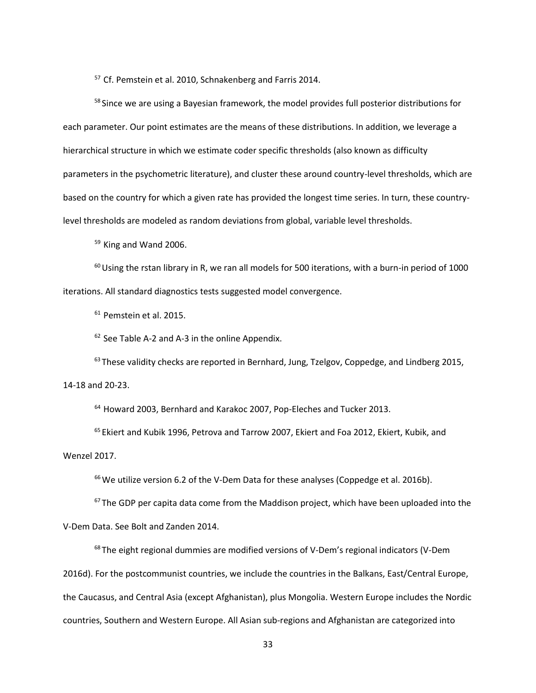<sup>57</sup> Cf. Pemstein et al. 2010, Schnakenberg and Farris 2014.

<sup>58</sup> Since we are using a Bayesian framework, the model provides full posterior distributions for each parameter. Our point estimates are the means of these distributions. In addition, we leverage a hierarchical structure in which we estimate coder specific thresholds (also known as difficulty parameters in the psychometric literature), and cluster these around country-level thresholds, which are based on the country for which a given rate has provided the longest time series. In turn, these countrylevel thresholds are modeled as random deviations from global, variable level thresholds.

59 King and Wand 2006.

 $^{60}$  Using the rstan library in R, we ran all models for 500 iterations, with a burn-in period of 1000 iterations. All standard diagnostics tests suggested model convergence.

 $61$  Pemstein et al. 2015.

 $62$  See Table A-2 and A-3 in the online Appendix.

 $63$  These validity checks are reported in Bernhard, Jung, Tzelgov, Coppedge, and Lindberg 2015,

14-18 and 20-23.

<sup>64</sup> Howard 2003, Bernhard and Karakoc 2007, Pop-Eleches and Tucker 2013.

<sup>65</sup> Ekiert and Kubik 1996, Petrova and Tarrow 2007, Ekiert and Foa 2012, Ekiert, Kubik, and Wenzel 2017.

 $66$  We utilize version 6.2 of the V-Dem Data for these analyses (Coppedge et al. 2016b).

 $67$ The GDP per capita data come from the Maddison project, which have been uploaded into the V-Dem Data. See Bolt and Zanden 2014.

 $68$  The eight regional dummies are modified versions of V-Dem's regional indicators (V-Dem 2016d). For the postcommunist countries, we include the countries in the Balkans, East/Central Europe, the Caucasus, and Central Asia (except Afghanistan), plus Mongolia. Western Europe includes the Nordic

countries, Southern and Western Europe. All Asian sub-regions and Afghanistan are categorized into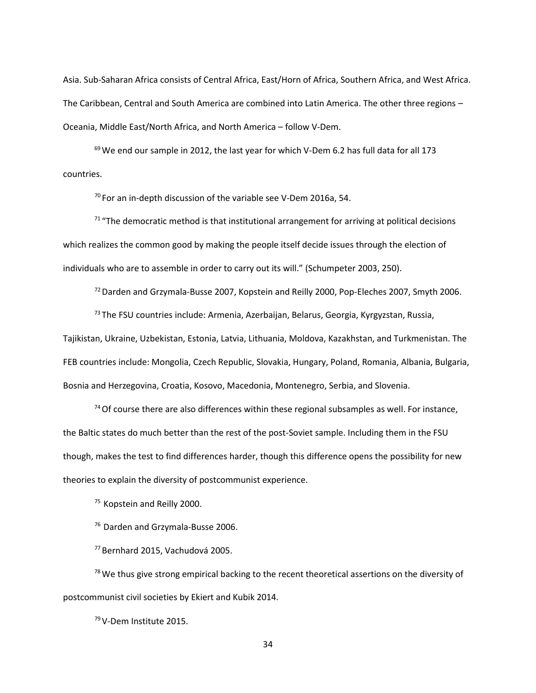Asia. Sub-Saharan Africa consists of Central Africa, East/Horn of Africa, Southern Africa, and West Africa. The Caribbean, Central and South America are combined into Latin America. The other three regions – Oceania, Middle East/North Africa, and North America – follow V-Dem.

 $69$  We end our sample in 2012, the last year for which V-Dem 6.2 has full data for all 173 countries.

 $70$  For an in-depth discussion of the variable see V-Dem 2016a, 54.

 $71$  "The democratic method is that institutional arrangement for arriving at political decisions which realizes the common good by making the people itself decide issues through the election of individuals who are to assemble in order to carry out its will." (Schumpeter 2003, 250).

<sup>72</sup> Darden and Grzymala-Busse 2007, Kopstein and Reilly 2000, Pop-Eleches 2007, Smyth 2006.

<sup>73</sup>The FSU countries include: Armenia, Azerbaijan, Belarus, Georgia, Kyrgyzstan, Russia,

Tajikistan, Ukraine, Uzbekistan, Estonia, Latvia, Lithuania, Moldova, Kazakhstan, and Turkmenistan. The FEB countries include: Mongolia, Czech Republic, Slovakia, Hungary, Poland, Romania, Albania, Bulgaria, Bosnia and Herzegovina, Croatia, Kosovo, Macedonia, Montenegro, Serbia, and Slovenia.

 $74$  Of course there are also differences within these regional subsamples as well. For instance, the Baltic states do much better than the rest of the post-Soviet sample. Including them in the FSU though, makes the test to find differences harder, though this difference opens the possibility for new theories to explain the diversity of postcommunist experience.

<sup>75</sup> Kopstein and Reilly 2000.

<sup>76</sup> Darden and Grzymala-Busse 2006.

<sup>77</sup>Bernhard 2015, Vachudová 2005.

 $78$  We thus give strong empirical backing to the recent theoretical assertions on the diversity of postcommunist civil societies by Ekiert and Kubik 2014.

<sup>79</sup> V-Dem Institute 2015.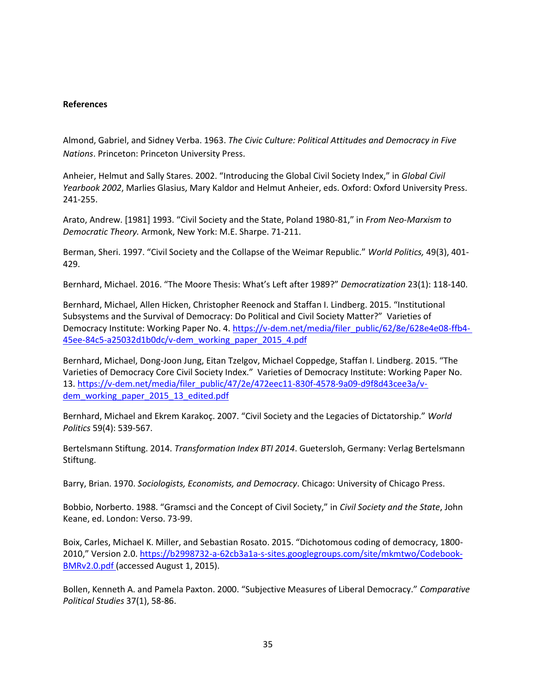## **References**

Almond, Gabriel, and Sidney Verba. 1963. *The Civic Culture: Political Attitudes and Democracy in Five Nations*. Princeton: Princeton University Press.

Anheier, Helmut and Sally Stares. 2002. "Introducing the Global Civil Society Index," in *Global Civil Yearbook 2002*, Marlies Glasius, Mary Kaldor and Helmut Anheier, eds. Oxford: Oxford University Press. 241-255.

Arato, Andrew. [1981] 1993. "Civil Society and the State, Poland 1980-81," in *From Neo-Marxism to Democratic Theory.* Armonk, New York: M.E. Sharpe. 71-211.

Berman, Sheri. 1997. "Civil Society and the Collapse of the Weimar Republic." *World Politics,* 49(3), 401- 429.

Bernhard, Michael. 2016. "The Moore Thesis: What's Left after 1989?" *Democratization* 23(1): 118-140.

Bernhard, Michael, Allen Hicken, Christopher Reenock and Staffan I. Lindberg. 2015. "Institutional Subsystems and the Survival of Democracy: Do Political and Civil Society Matter?" Varieties of Democracy Institute: Working Paper No. 4[. https://v-dem.net/media/filer\\_public/62/8e/628e4e08-ffb4-](https://v-dem.net/media/filer_public/62/8e/628e4e08-ffb4-45ee-84c5-a25032d1b0dc/v-dem_working_paper_2015_4.pdf) [45ee-84c5-a25032d1b0dc/v-dem\\_working\\_paper\\_2015\\_4.pdf](https://v-dem.net/media/filer_public/62/8e/628e4e08-ffb4-45ee-84c5-a25032d1b0dc/v-dem_working_paper_2015_4.pdf)

Bernhard, Michael, Dong-Joon Jung, Eitan Tzelgov, Michael Coppedge, Staffan I. Lindberg. 2015. "The Varieties of Democracy Core Civil Society Index." Varieties of Democracy Institute: Working Paper No. 13[. https://v-dem.net/media/filer\\_public/47/2e/472eec11-830f-4578-9a09-d9f8d43cee3a/v](https://v-dem.net/media/filer_public/47/2e/472eec11-830f-4578-9a09-d9f8d43cee3a/v-dem_working_paper_2015_13_edited.pdf)[dem\\_working\\_paper\\_2015\\_13\\_edited.pdf](https://v-dem.net/media/filer_public/47/2e/472eec11-830f-4578-9a09-d9f8d43cee3a/v-dem_working_paper_2015_13_edited.pdf)

Bernhard, Michael and Ekrem Karakoç. 2007. "Civil Society and the Legacies of Dictatorship." *World Politics* 59(4): 539-567.

Bertelsmann Stiftung. 2014. *Transformation Index BTI 2014*. Guetersloh, Germany: Verlag Bertelsmann Stiftung.

Barry, Brian. 1970. *Sociologists, Economists, and Democracy*. Chicago: University of Chicago Press.

Bobbio, Norberto. 1988. "Gramsci and the Concept of Civil Society," in *Civil Society and the State*, John Keane, ed. London: Verso. 73-99.

Boix, Carles, Michael K. Miller, and Sebastian Rosato. 2015. "Dichotomous coding of democracy, 1800- 2010," Version 2.0. [https://b2998732-a-62cb3a1a-s-sites.googlegroups.com/site/mkmtwo/Codebook-](https://b2998732-a-62cb3a1a-s-sites.googlegroups.com/site/mkmtwo/Codebook-BMRv2.0.pdf)[BMRv2.0.pdf \(](https://b2998732-a-62cb3a1a-s-sites.googlegroups.com/site/mkmtwo/Codebook-BMRv2.0.pdf)accessed August 1, 2015).

Bollen, Kenneth A. and Pamela Paxton. 2000. "Subjective Measures of Liberal Democracy." *Comparative Political Studies* 37(1), 58-86.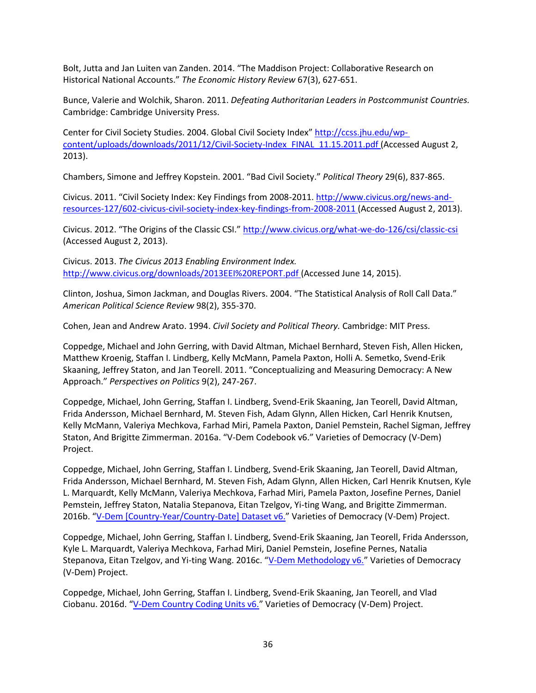Bolt, Jutta and Jan Luiten van Zanden. 2014. "The Maddison Project: Collaborative Research on Historical National Accounts." *The Economic History Review* 67(3), 627-651.

Bunce, Valerie and Wolchik, Sharon. 2011. *Defeating Authoritarian Leaders in Postcommunist Countries.* Cambridge: Cambridge University Press.

Center for Civil Society Studies. 2004. Global Civil Society Index" [http://ccss.jhu.edu/wp](http://ccss.jhu.edu/wp-content/uploads/downloads/2011/12/Civil-Society-Index_FINAL_11.15.2011.pdf)[content/uploads/downloads/2011/12/Civil-Society-Index\\_FINAL\\_11.15.2011.pdf \(](http://ccss.jhu.edu/wp-content/uploads/downloads/2011/12/Civil-Society-Index_FINAL_11.15.2011.pdf)Accessed August 2, 2013).

Chambers, Simone and Jeffrey Kopstein. 2001. "Bad Civil Society." *Political Theory* 29(6), 837-865.

Civicus. 2011. "Civil Society Index: Key Findings from 2008-2011. [http://www.civicus.org/news-and](http://www.civicus.org/news-and-resources-127/602-civicus-civil-society-index-key-findings-from-2008-2011)[resources-127/602-civicus-civil-society-index-key-findings-from-2008-2011 \(](http://www.civicus.org/news-and-resources-127/602-civicus-civil-society-index-key-findings-from-2008-2011)Accessed August 2, 2013).

Civicus. 2012. "The Origins of the Classic CSI." <http://www.civicus.org/what-we-do-126/csi/classic-csi> (Accessed August 2, 2013).

Civicus. 2013. *The Civicus 2013 Enabling Environment Index.* [http://www.civicus.org/downloads/2013EEI%20REPORT.pdf \(](http://www.civicus.org/downloads/2013EEI%20REPORT.pdf)Accessed June 14, 2015).

Clinton, Joshua, Simon Jackman, and Douglas Rivers. 2004. "The Statistical Analysis of Roll Call Data." *American Political Science Review* 98(2), 355-370.

Cohen, Jean and Andrew Arato. 1994. *Civil Society and Political Theory.* Cambridge: MIT Press.

Coppedge, Michael and John Gerring, with David Altman, Michael Bernhard, Steven Fish, Allen Hicken, Matthew Kroenig, Staffan I. Lindberg, Kelly McMann, Pamela Paxton, Holli A. Semetko, Svend-Erik Skaaning, Jeffrey Staton, and Jan Teorell. 2011. "Conceptualizing and Measuring Democracy: A New Approach." *Perspectives on Politics* 9(2), 247-267.

Coppedge, Michael, John Gerring, Staffan I. Lindberg, Svend-Erik Skaaning, Jan Teorell, David Altman, Frida Andersson, Michael Bernhard, M. Steven Fish, Adam Glynn, Allen Hicken, Carl Henrik Knutsen, Kelly McMann, Valeriya Mechkova, Farhad Miri, Pamela Paxton, Daniel Pemstein, Rachel Sigman, Jeffrey Staton, And Brigitte Zimmerman. 2016a. "V-Dem Codebook v6." Varieties of Democracy (V-Dem) Project.

Coppedge, Michael, John Gerring, Staffan I. Lindberg, Svend-Erik Skaaning, Jan Teorell, David Altman, Frida Andersson, Michael Bernhard, M. Steven Fish, Adam Glynn, Allen Hicken, Carl Henrik Knutsen, Kyle L. Marquardt, Kelly McMann, Valeriya Mechkova, Farhad Miri, Pamela Paxton, Josefine Pernes, Daniel Pemstein, Jeffrey Staton, Natalia Stepanova, Eitan Tzelgov, Yi-ting Wang, and Brigitte Zimmerman. 2016b. "[V-Dem \[Country-Year/Country-Date\] Dataset v6.](https://v-dem.net/en/reference/version-6-mar-2016/)" Varieties of Democracy (V-Dem) Project.

Coppedge, Michael, John Gerring, Staffan I. Lindberg, Svend-Erik Skaaning, Jan Teorell, Frida Andersson, Kyle L. Marquardt, Valeriya Mechkova, Farhad Miri, Daniel Pemstein, Josefine Pernes, Natalia Stepanova, Eitan Tzelgov, and Yi-ting Wang. 2016c. "[V-Dem Methodology v6.](https://v-dem.net/en/reference/version-6-mar-2016/)" Varieties of Democracy (V-Dem) Project.

Coppedge, Michael, John Gerring, Staffan I. Lindberg, Svend-Erik Skaaning, Jan Teorell, and Vlad Ciobanu. 2016d. "[V-Dem Country Coding Units v6.](https://v-dem.net/en/reference/version-6-mar-2016/)" Varieties of Democracy (V-Dem) Project.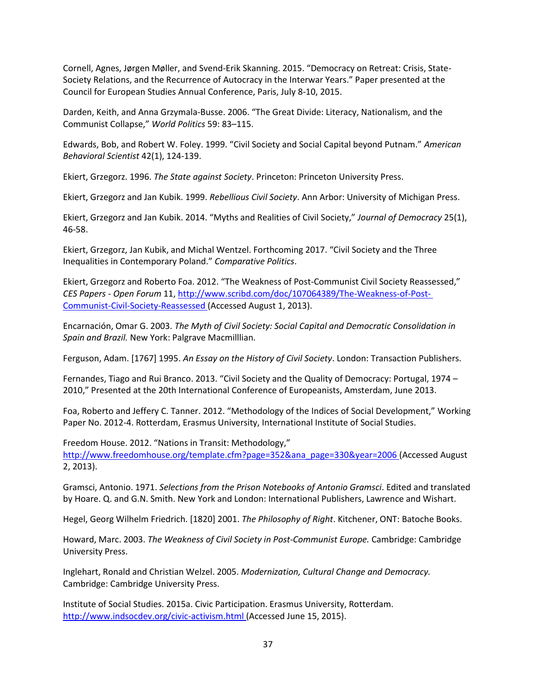Cornell, Agnes, Jørgen Møller, and Svend-Erik Skanning. 2015. "Democracy on Retreat: Crisis, State-Society Relations, and the Recurrence of Autocracy in the Interwar Years." Paper presented at the Council for European Studies Annual Conference, Paris, July 8-10, 2015.

Darden, Keith, and Anna Grzymala-Busse. 2006. "The Great Divide: Literacy, Nationalism, and the Communist Collapse," *World Politics* 59: 83–115.

Edwards, Bob, and Robert W. Foley. 1999. "Civil Society and Social Capital beyond Putnam." *American Behavioral Scientist* 42(1), 124-139.

Ekiert, Grzegorz. 1996. *The State against Society*. Princeton: Princeton University Press.

Ekiert, Grzegorz and Jan Kubik. 1999. *Rebellious Civil Society*. Ann Arbor: University of Michigan Press.

Ekiert, Grzegorz and Jan Kubik. 2014. "Myths and Realities of Civil Society," *Journal of Democracy* 25(1), 46-58.

Ekiert, Grzegorz, Jan Kubik, and Michal Wentzel. Forthcoming 2017. "Civil Society and the Three Inequalities in Contemporary Poland." *Comparative Politics*.

Ekiert, Grzegorz and Roberto Foa. 2012. "The Weakness of Post-Communist Civil Society Reassessed," *CES Papers - Open Forum* 11, [http://www.scribd.com/doc/107064389/The-Weakness-of-Post-](http://www.scribd.com/doc/107064389/The-Weakness-of-Post-Communist-Civil-Society-Reassessed)[Communist-Civil-Society-Reassessed](http://www.scribd.com/doc/107064389/The-Weakness-of-Post-Communist-Civil-Society-Reassessed) (Accessed August 1, 2013).

Encarnación, Omar G. 2003. *The Myth of Civil Society: Social Capital and Democratic Consolidation in Spain and Brazil.* New York: Palgrave Macmilllian.

Ferguson, Adam. [1767] 1995. *An Essay on the History of Civil Society*. London: Transaction Publishers.

Fernandes, Tiago and Rui Branco. 2013. "Civil Society and the Quality of Democracy: Portugal, 1974 – 2010," Presented at the 20th International Conference of Europeanists, Amsterdam, June 2013.

Foa, Roberto and Jeffery C. Tanner. 2012. "Methodology of the Indices of Social Development," Working Paper No. 2012-4. Rotterdam, Erasmus University, International Institute of Social Studies.

Freedom House. 2012. "Nations in Transit: Methodology,"

[http://www.freedomhouse.org/template.cfm?page=352&ana\\_page=330&year=2006 \(](http://www.freedomhouse.org/template.cfm?page=352&ana_page=330&year=2006)Accessed August 2, 2013).

Gramsci, Antonio. 1971. *Selections from the Prison Notebooks of Antonio Gramsci*. Edited and translated by Hoare. Q. and G.N. Smith. New York and London: International Publishers, Lawrence and Wishart.

Hegel, Georg Wilhelm Friedrich. [1820] 2001. *The Philosophy of Right*. Kitchener, ONT: Batoche Books.

Howard, Marc. 2003. *The Weakness of Civil Society in Post-Communist Europe.* Cambridge: Cambridge University Press.

Inglehart, Ronald and Christian Welzel. 2005. *Modernization, Cultural Change and Democracy.* Cambridge: Cambridge University Press.

Institute of Social Studies. 2015a. Civic Participation. Erasmus University, Rotterdam. [http://www.indsocdev.org/civic-activism.html \(](http://www.indsocdev.org/civic-activism.html)Accessed June 15, 2015).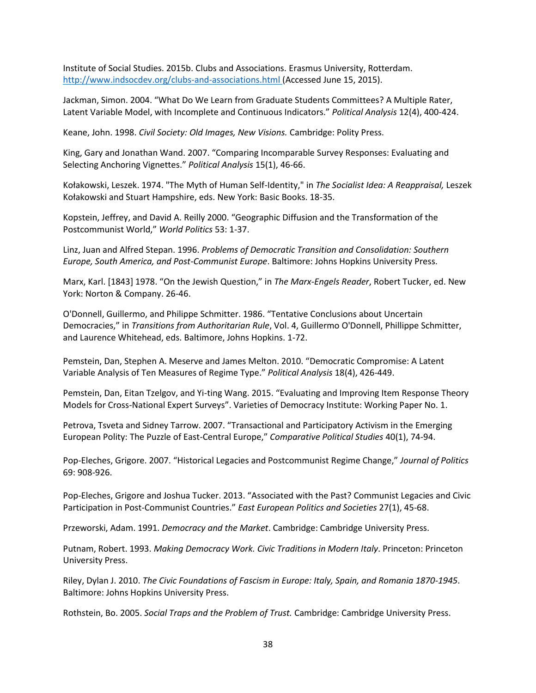Institute of Social Studies. 2015b. Clubs and Associations. Erasmus University, Rotterdam. [http://www.indsocdev.org/clubs-and-associations.html \(](http://www.indsocdev.org/clubs-and-associations.html)Accessed June 15, 2015).

Jackman, Simon. 2004. "What Do We Learn from Graduate Students Committees? A Multiple Rater, Latent Variable Model, with Incomplete and Continuous Indicators." *Political Analysis* 12(4), 400-424.

Keane, John. 1998. *Civil Society: Old Images, New Visions.* Cambridge: Polity Press.

King, Gary and Jonathan Wand. 2007. "Comparing Incomparable Survey Responses: Evaluating and Selecting Anchoring Vignettes." *Political Analysis* 15(1), 46-66.

Kołakowski, Leszek. 1974. "The Myth of Human Self-Identity," in *The Socialist Idea: A Reappraisal,* Leszek Kołakowski and Stuart Hampshire, eds. New York: Basic Books. 18-35.

Kopstein, Jeffrey, and David A. Reilly 2000. "Geographic Diffusion and the Transformation of the Postcommunist World," *World Politics* 53: 1-37.

Linz, Juan and Alfred Stepan. 1996. *Problems of Democratic Transition and Consolidation: Southern Europe, South America, and Post-Communist Europe*. Baltimore: Johns Hopkins University Press.

Marx, Karl. [1843] 1978. "On the Jewish Question," in *The Marx-Engels Reader*, Robert Tucker, ed. New York: Norton & Company. 26-46.

O'Donnell, Guillermo, and Philippe Schmitter. 1986. "Tentative Conclusions about Uncertain Democracies," in *Transitions from Authoritarian Rule*, Vol. 4, Guillermo O'Donnell, Phillippe Schmitter, and Laurence Whitehead, eds. Baltimore, Johns Hopkins. 1-72.

Pemstein, Dan, Stephen A. Meserve and James Melton. 2010. "Democratic Compromise: A Latent Variable Analysis of Ten Measures of Regime Type." *Political Analysis* 18(4), 426-449.

Pemstein, Dan, Eitan Tzelgov, and Yi-ting Wang. 2015. "Evaluating and Improving Item Response Theory Models for Cross-National Expert Surveys". Varieties of Democracy Institute: Working Paper No. 1.

Petrova, Tsveta and Sidney Tarrow. 2007. "Transactional and Participatory Activism in the Emerging European Polity: The Puzzle of East-Central Europe," *Comparative Political Studies* 40(1), 74-94.

Pop-Eleches, Grigore. 2007. "Historical Legacies and Postcommunist Regime Change," *Journal of Politics* 69: 908-926.

Pop-Eleches, Grigore and Joshua Tucker. 2013. "Associated with the Past? Communist Legacies and Civic Participation in Post-Communist Countries." *East European Politics and Societies* 27(1), 45-68.

Przeworski, Adam. 1991. *Democracy and the Market*. Cambridge: Cambridge University Press.

Putnam, Robert. 1993. *Making Democracy Work. Civic Traditions in Modern Italy*. Princeton: Princeton University Press.

Riley, Dylan J. 2010. *The Civic Foundations of Fascism in Europe: Italy, Spain, and Romania 1870-1945*. Baltimore: Johns Hopkins University Press.

Rothstein, Bo. 2005. *Social Traps and the Problem of Trust.* Cambridge: Cambridge University Press.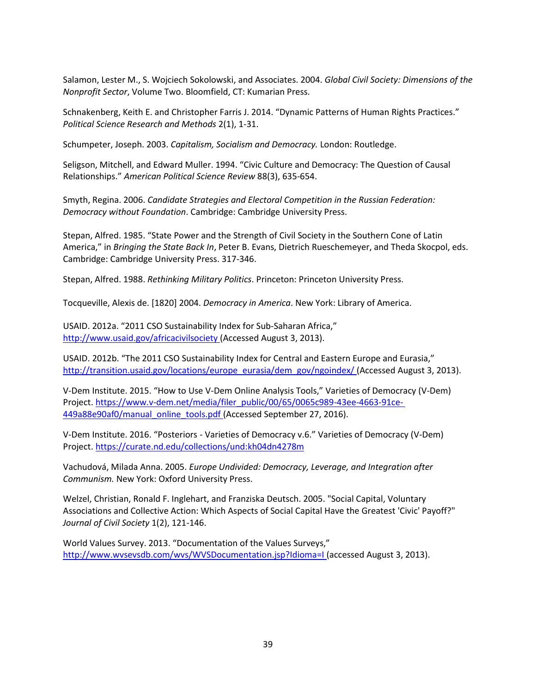Salamon, Lester M., S. Wojciech Sokolowski, and Associates. 2004. *Global Civil Society: Dimensions of the Nonprofit Sector*, Volume Two. Bloomfield, CT: Kumarian Press.

Schnakenberg, Keith E. and Christopher Farris J. 2014. "Dynamic Patterns of Human Rights Practices." *Political Science Research and Methods* 2(1), 1-31.

Schumpeter, Joseph. 2003. *Capitalism, Socialism and Democracy.* London: Routledge.

Seligson, Mitchell, and Edward Muller. 1994. "Civic Culture and Democracy: The Question of Causal Relationships." *American Political Science Review* 88(3), 635-654.

Smyth, Regina. 2006. *Candidate Strategies and Electoral Competition in the Russian Federation: Democracy without Foundation*. Cambridge: Cambridge University Press.

Stepan, Alfred. 1985. "State Power and the Strength of Civil Society in the Southern Cone of Latin America," in *Bringing the State Back In*, Peter B. Evans, Dietrich Rueschemeyer, and Theda Skocpol, eds. Cambridge: Cambridge University Press. 317-346.

Stepan, Alfred. 1988. *Rethinking Military Politics*. Princeton: Princeton University Press.

Tocqueville, Alexis de. [1820] 2004. *Democracy in America*. New York: Library of America.

USAID. 2012a. "2011 CSO Sustainability Index for Sub-Saharan Africa," [http://www.usaid.gov/africacivilsociety \(](http://www.usaid.gov/africacivilsociety)Accessed August 3, 2013).

USAID. 2012b. "The 2011 CSO Sustainability Index for Central and Eastern Europe and Eurasia," [http://transition.usaid.gov/locations/europe\\_eurasia/dem\\_gov/ngoindex/ \(](http://transition.usaid.gov/locations/europe_eurasia/dem_gov/ngoindex/)Accessed August 3, 2013).

V-Dem Institute. 2015. "How to Use V-Dem Online Analysis Tools," Varieties of Democracy (V-Dem) Project. [https://www.v-dem.net/media/filer\\_public/00/65/0065c989-43ee-4663-91ce-](https://www.v-dem.net/media/filer_public/00/65/0065c989-43ee-4663-91ce-449a88e90af0/manual_online_tools.pdf)[449a88e90af0/manual\\_online\\_tools.pdf \(](https://www.v-dem.net/media/filer_public/00/65/0065c989-43ee-4663-91ce-449a88e90af0/manual_online_tools.pdf)Accessed September 27, 2016).

V-Dem Institute. 2016. "Posteriors - Varieties of Democracy v.6." Varieties of Democracy (V-Dem) Project. https://curate.nd.edu/collections/und:kh04dn4278m

Vachudová, Milada Anna. 2005. *Europe Undivided: Democracy, Leverage, and Integration after Communism.* New York: Oxford University Press.

Welzel, Christian, Ronald F. Inglehart, and Franziska Deutsch. 2005. "Social Capital, Voluntary Associations and Collective Action: Which Aspects of Social Capital Have the Greatest 'Civic' Payoff?" *Journal of Civil Society* 1(2), 121-146.

World Values Survey. 2013. "Documentation of the Values Surveys," [http://www.wvsevsdb.com/wvs/WVSDocumentation.jsp?Idioma=I \(](http://www.wvsevsdb.com/wvs/WVSDocumentation.jsp?Idioma=I)accessed August 3, 2013).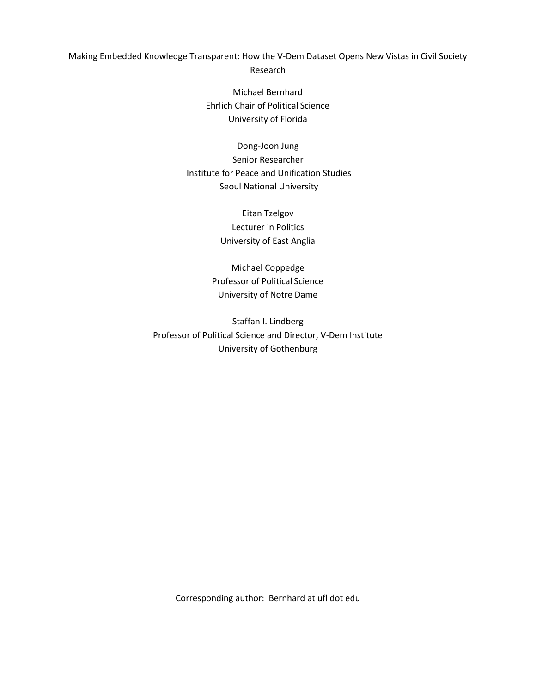# Making Embedded Knowledge Transparent: How the V-Dem Dataset Opens New Vistas in Civil Society Research

Michael Bernhard Ehrlich Chair of Political Science University of Florida

Dong-Joon Jung Senior Researcher Institute for Peace and Unification Studies Seoul National University

> Eitan Tzelgov Lecturer in Politics University of East Anglia

Michael Coppedge Professor of Political Science University of Notre Dame

Staffan I. Lindberg Professor of Political Science and Director, V-Dem Institute University of Gothenburg

Corresponding author: Bernhard at ufl dot edu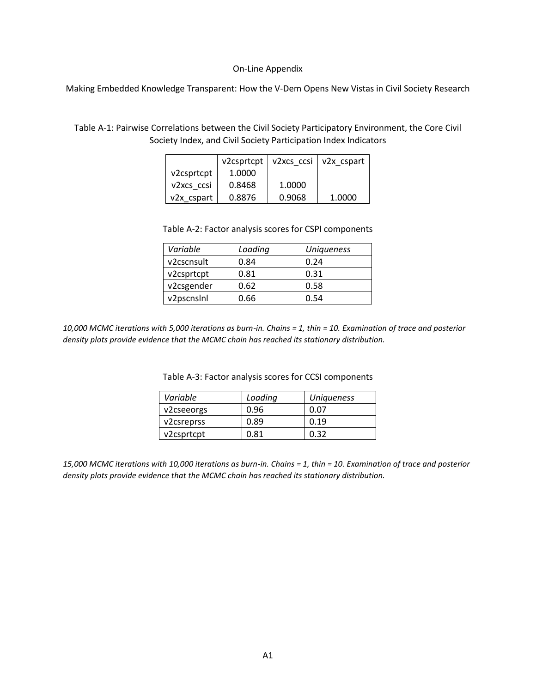## On-Line Appendix

Making Embedded Knowledge Transparent: How the V-Dem Opens New Vistas in Civil Society Research

Table A-1: Pairwise Correlations between the Civil Society Participatory Environment, the Core Civil Society Index, and Civil Society Participation Index Indicators

|                        |        | v2csprtcpt   v2xcs ccsi   v2x cspart |        |
|------------------------|--------|--------------------------------------|--------|
| v2csprtcpt             | 1.0000 |                                      |        |
| v <sub>2xcs</sub> ccsi | 0.8468 | 1.0000                               |        |
| v2x cspart             | 0.8876 | 0.9068                               | 1.0000 |

| Table A-2: Factor analysis scores for CSPI components |  |  |  |  |
|-------------------------------------------------------|--|--|--|--|
|-------------------------------------------------------|--|--|--|--|

| Variable   | Loading | <b>Uniqueness</b> |
|------------|---------|-------------------|
| v2cscnsult | 0.84    | 0.24              |
| v2csprtcpt | 0.81    | 0.31              |
| v2csgender | 0.62    | 0.58              |
| v2pscnslnl | 0.66    | 0.54              |

*10,000 MCMC iterations with 5,000 iterations as burn-in. Chains = 1, thin = 10. Examination of trace and posterior density plots provide evidence that the MCMC chain has reached its stationary distribution.*

| Variable   | Loadina | <b>Uniqueness</b> |
|------------|---------|-------------------|
| v2cseeorgs | 0.96    | 0.07              |
| v2csreprss | 0.89    | 0.19              |
| v2csprtcpt | በ.ጸ1    | 0.32              |

Table A-3: Factor analysis scores for CCSI components

*15,000 MCMC iterations with 10,000 iterations as burn-in. Chains = 1, thin = 10. Examination of trace and posterior density plots provide evidence that the MCMC chain has reached its stationary distribution.*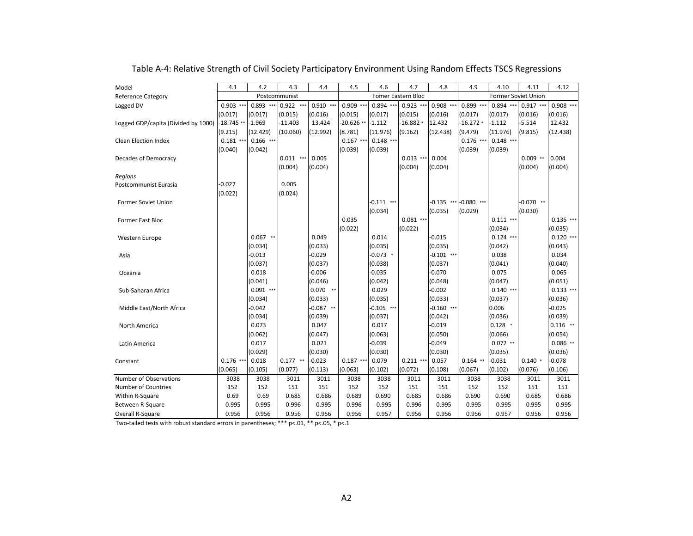| Model                               | 4.1           | 4.2         | 4.3         | 4.4         | 4.5                | 4.6          | 4.7         | 4.8                       | 4.9         | 4.10        | 4.11        | 4.12        |
|-------------------------------------|---------------|-------------|-------------|-------------|--------------------|--------------|-------------|---------------------------|-------------|-------------|-------------|-------------|
| <b>Reference Category</b>           | Postcommunist |             |             |             | Fomer Eastern Bloc |              |             | Former Soviet Union       |             |             |             |             |
| Lagged DV                           | $0.903$ ***   | $0.893$ *** | $0.922$ *** | $0.910$ *** | $0.909$ ***        | $0.894$ ***  | $0.923$ *** | $0.908$ **                | $0.899$ *** | $0.894$ *** | $0.917$ **  | $0.908$ *** |
|                                     | (0.017)       | (0.017)     | (0.015)     | (0.016)     | (0.015)            | (0.017)      | (0.015)     | (0.016)                   | (0.017)     | (0.017)     | (0.016)     | (0.016)     |
| Logged GDP/capita (Divided by 1000) | $-18.745**$   | $-1.969$    | $-11.403$   | 13.424      | $-20.626**$ -1.112 |              | $-16.882*$  | 12.432                    | $-16.272*$  | $-1.112$    | $-5.514$    | 12.432      |
|                                     | (9.215)       | (12.429)    | (10.060)    | (12.992)    | (8.781)            | (11.976)     | (9.162)     | (12.438)                  | (9.479)     | (11.976)    | (9.815)     | (12.438)    |
| <b>Clean Election Index</b>         | $0.181$ ***   | $0.166$ *** |             |             | $0.167$ ***        | $0.148$ ***  |             |                           | $0.176$ *** | $0.148$ *** |             |             |
|                                     | (0.040)       | (0.042)     |             |             | (0.039)            | (0.039)      |             |                           | (0.039)     | (0.039)     |             |             |
| Decades of Democracy                |               |             | $0.011$ *** | 0.005       |                    |              | $0.013$ *** | 0.004                     |             |             | $0.009$ **  | 0.004       |
|                                     |               |             | (0.004)     | (0.004)     |                    |              | (0.004)     | (0.004)                   |             |             | (0.004)     | (0.004)     |
| Regions                             |               |             |             |             |                    |              |             |                           |             |             |             |             |
| Postcommunist Eurasia               | $-0.027$      |             | 0.005       |             |                    |              |             |                           |             |             |             |             |
|                                     | (0.022)       |             | (0.024)     |             |                    |              |             |                           |             |             |             |             |
| Former Soviet Union                 |               |             |             |             |                    | $-0.111$ *** |             | $-0.135$ *** $-0.080$ *** |             |             | $-0.070$ ** |             |
|                                     |               |             |             |             |                    | (0.034)      |             | (0.035)                   | (0.029)     |             | (0.030)     |             |
| Former East Bloc                    |               |             |             |             | 0.035              |              | $0.081$ *** |                           |             | $0.111$ *** |             | $0.135$ *** |
|                                     |               |             |             |             | (0.022)            |              | (0.022)     |                           |             | (0.034)     |             | (0.035)     |
| Western Europe                      |               | $0.067$ **  |             | 0.049       |                    | 0.014        |             | $-0.015$                  |             | $0.124$ *** |             | $0.120$ *** |
|                                     |               | (0.034)     |             | (0.033)     |                    | (0.035)      |             | (0.035)                   |             | (0.042)     |             | (0.043)     |
| Asia                                |               | $-0.013$    |             | $-0.029$    |                    | $-0.073$ *   |             | $-0.101$ ***              |             | 0.038       |             | 0.034       |
|                                     |               | (0.037)     |             | (0.037)     |                    | (0.038)      |             | (0.037)                   |             | (0.041)     |             | (0.040)     |
| Oceania                             |               | 0.018       |             | $-0.006$    |                    | $-0.035$     |             | $-0.070$                  |             | 0.075       |             | 0.065       |
|                                     |               | (0.041)     |             | (0.046)     |                    | (0.042)      |             | (0.048)                   |             | (0.047)     |             | (0.051)     |
| Sub-Saharan Africa                  |               | $0.091$ *** |             | $0.070$ **  |                    | 0.029        |             | $-0.002$                  |             | $0.140$ *** |             | $0.133$ *** |
|                                     |               | (0.034)     |             | (0.033)     |                    | (0.035)      |             | (0.033)                   |             | (0.037)     |             | (0.036)     |
| Middle East/North Africa            |               | $-0.042$    |             | $-0.087$ ** |                    | $-0.105$ *** |             | $-0.160$ ***              |             | 0.006       |             | $-0.025$    |
|                                     |               | (0.034)     |             | (0.039)     |                    | (0.037)      |             | (0.042)                   |             | (0.036)     |             | (0.039)     |
| North America                       |               | 0.073       |             | 0.047       |                    | 0.017        |             | $-0.019$                  |             | $0.128$ *   |             | $0.116$ **  |
|                                     |               | (0.062)     |             | (0.047)     |                    | (0.063)      |             | (0.050)                   |             | (0.066)     |             | (0.054)     |
| Latin America                       |               | 0.017       |             | 0.021       |                    | $-0.039$     |             | $-0.049$                  |             | $0.072$ **  |             | $0.086$ **  |
|                                     |               | (0.029)     |             | (0.030)     |                    | (0.030)      |             | (0.030)                   |             | (0.035)     |             | (0.036)     |
| Constant                            | $0.176$ ***   | 0.018       | $0.177$ **  | $-0.023$    | $0.187$ ***        | 0.079        | $0.211$ *** | 0.057                     | $0.164$ **  | $-0.031$    | $0.140*$    | $-0.078$    |
|                                     | (0.065)       | (0.105)     | (0.077)     | (0.113)     | (0.063)            | (0.102)      | (0.072)     | (0.108)                   | (0.067)     | (0.102)     | (0.076)     | (0.106)     |
| Number of Observations              | 3038          | 3038        | 3011        | 3011        | 3038               | 3038         | 3011        | 3011                      | 3038        | 3038        | 3011        | 3011        |
| Number of Countries                 | 152           | 152         | 151         | 151         | 152                | 152          | 151         | 151                       | 152         | 152         | 151         | 151         |
| Within R-Square                     | 0.69          | 0.69        | 0.685       | 0.686       | 0.689              | 0.690        | 0.685       | 0.686                     | 0.690       | 0.690       | 0.685       | 0.686       |
| Between R-Square                    | 0.995         | 0.995       | 0.996       | 0.995       | 0.996              | 0.995        | 0.996       | 0.995                     | 0.995       | 0.995       | 0.995       | 0.995       |
| Overall R-Square                    | 0.956         | 0.956       | 0.956       | 0.956       | 0.956              | 0.957        | 0.956       | 0.956                     | 0.956       | 0.957       | 0.956       | 0.956       |

# Table A-4: Relative Strength of Civil Society Participatory Environment Using Random Effects TSCS Regressions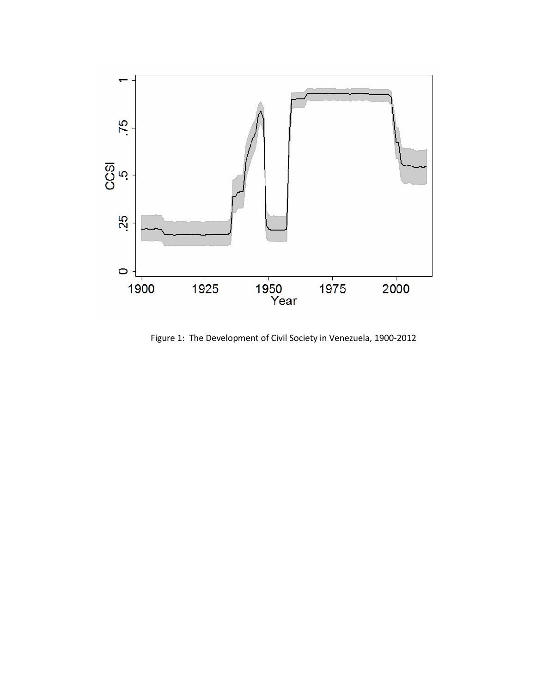

Figure 1: The Development of Civil Society in Venezuela, 1900-2012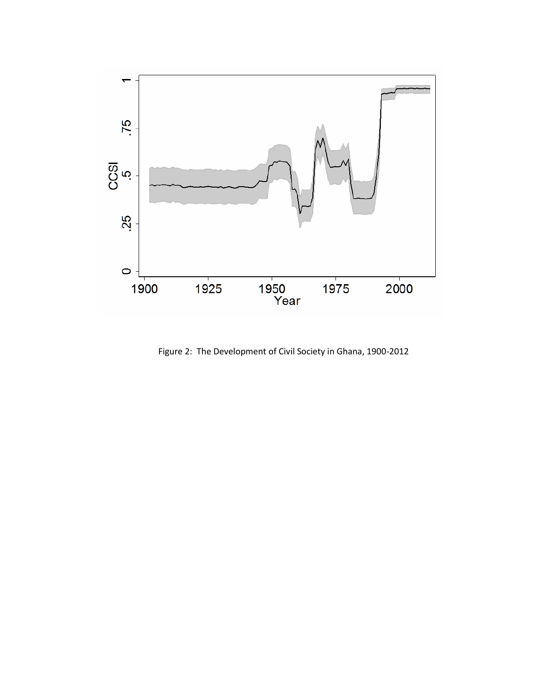

Figure 2: The Development of Civil Society in Ghana, 1900-2012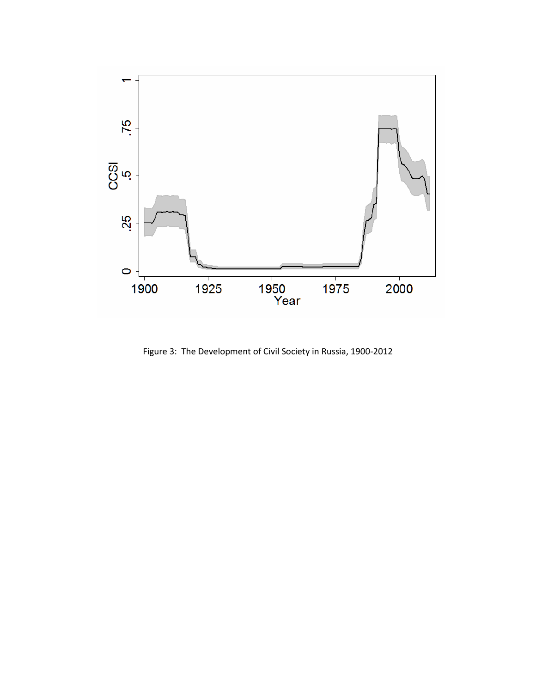

Figure 3: The Development of Civil Society in Russia, 1900-2012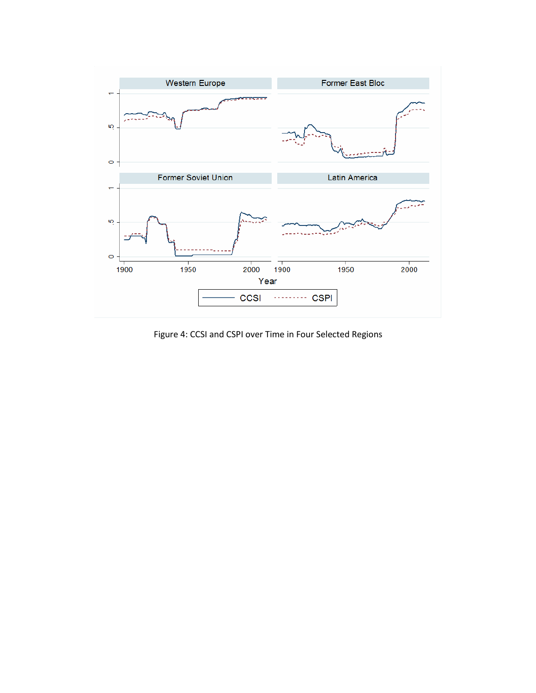

Figure 4: CCSI and CSPI over Time in Four Selected Regions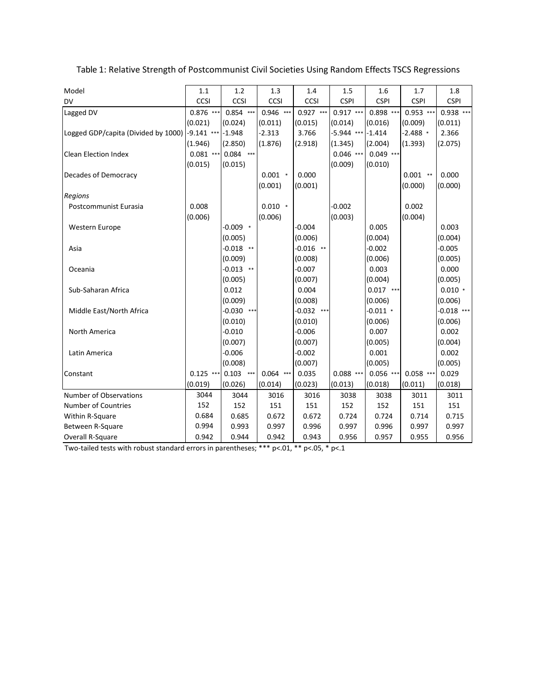| Model                               | 1.1                   | 1.2          | 1.3         | 1.4          | 1.5               | 1.6         | 1.7         | 1.8          |
|-------------------------------------|-----------------------|--------------|-------------|--------------|-------------------|-------------|-------------|--------------|
| <b>DV</b>                           | CCSI                  | CCSI         | CCSI        | CCSI         | <b>CSPI</b>       | <b>CSPI</b> | <b>CSPI</b> | <b>CSPI</b>  |
| Lagged DV                           | $0.876$ ***           | $0.854$ ***  | $0.946$ *** | $0.927$ ***  | $0.917$ ***       | $0.898$ *** | $0.953$ *** | $0.938$ ***  |
|                                     | (0.021)               | (0.024)      | (0.011)     | (0.015)      | (0.014)           | (0.016)     | (0.009)     | (0.011)      |
| Logged GDP/capita (Divided by 1000) | $-9.141$ *** $-1.948$ |              | $-2.313$    | 3.766        | -5.944 *** -1.414 |             | $-2.488*$   | 2.366        |
|                                     | (1.946)               | (2.850)      | (1.876)     | (2.918)      | (1.345)           | (2.004)     | (1.393)     | (2.075)      |
| <b>Clean Election Index</b>         | $0.081$ ***           | $0.084$ ***  |             |              | $0.046$ ***       | $0.049$ *** |             |              |
|                                     | (0.015)               | (0.015)      |             |              | (0.009)           | (0.010)     |             |              |
| Decades of Democracy                |                       |              | $0.001$ *   | 0.000        |                   |             | $0.001$ **  | 0.000        |
|                                     |                       |              | (0.001)     | (0.001)      |                   |             | (0.000)     | (0.000)      |
| Regions                             |                       |              |             |              |                   |             |             |              |
| Postcommunist Eurasia               | 0.008                 |              | $0.010$ *   |              | $-0.002$          |             | 0.002       |              |
|                                     | (0.006)               |              | (0.006)     |              | (0.003)           |             | (0.004)     |              |
| Western Europe                      |                       | $-0.009$ *   |             | $-0.004$     |                   | 0.005       |             | 0.003        |
|                                     |                       | (0.005)      |             | (0.006)      |                   | (0.004)     |             | (0.004)      |
| Asia                                |                       | $-0.018$ **  |             | $-0.016$ **  |                   | $-0.002$    |             | $-0.005$     |
|                                     |                       | (0.009)      |             | (0.008)      |                   | (0.006)     |             | (0.005)      |
| Oceania                             |                       | $-0.013$ **  |             | $-0.007$     |                   | 0.003       |             | 0.000        |
|                                     |                       | (0.005)      |             | (0.007)      |                   | (0.004)     |             | (0.005)      |
| Sub-Saharan Africa                  |                       | 0.012        |             | 0.004        |                   | $0.017$ *** |             | $0.010 *$    |
|                                     |                       | (0.009)      |             | (0.008)      |                   | (0.006)     |             | (0.006)      |
| Middle East/North Africa            |                       | $-0.030$ *** |             | $-0.032$ *** |                   | $-0.011$ *  |             | $-0.018$ *** |
|                                     |                       | (0.010)      |             | (0.010)      |                   | (0.006)     |             | (0.006)      |
| North America                       |                       | $-0.010$     |             | $-0.006$     |                   | 0.007       |             | 0.002        |
|                                     |                       | (0.007)      |             | (0.007)      |                   | (0.005)     |             | (0.004)      |
| Latin America                       |                       | $-0.006$     |             | $-0.002$     |                   | 0.001       |             | 0.002        |
|                                     |                       | (0.008)      |             | (0.007)      |                   | (0.005)     |             | (0.005)      |
| Constant                            | $0.125$ ***           | $0.103$ ***  | $0.064$ *** | 0.035        | $0.088$ ***       | $0.056$ *** | $0.058$ *** | 0.029        |
|                                     | (0.019)               | (0.026)      | (0.014)     | (0.023)      | (0.013)           | (0.018)     | (0.011)     | (0.018)      |
| <b>Number of Observations</b>       | 3044                  | 3044         | 3016        | 3016         | 3038              | 3038        | 3011        | 3011         |
| <b>Number of Countries</b>          | 152                   | 152          | 151         | 151          | 152               | 152         | 151         | 151          |
| Within R-Square                     | 0.684                 | 0.685        | 0.672       | 0.672        | 0.724             | 0.724       | 0.714       | 0.715        |
| Between R-Square                    | 0.994                 | 0.993        | 0.997       | 0.996        | 0.997             | 0.996       | 0.997       | 0.997        |
| Overall R-Square                    | 0.942                 | 0.944        | 0.942       | 0.943        | 0.956             | 0.957       | 0.955       | 0.956        |

Table 1: Relative Strength of Postcommunist Civil Societies Using Random Effects TSCS Regressions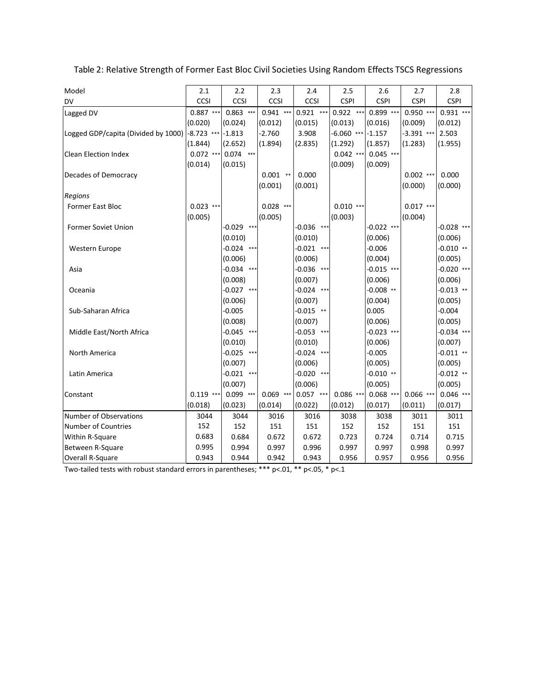| <b>DV</b><br>CCSI<br>CCSI<br>CCSI<br>CCSI<br><b>CSPI</b><br><b>CSPI</b><br><b>CSPI</b><br><b>CSPI</b>                               |  |
|-------------------------------------------------------------------------------------------------------------------------------------|--|
|                                                                                                                                     |  |
| $0.887$ ***<br>$0.941$ ***<br>$0.921$ ***<br>$0.899$ ***<br>$0.950$ ***<br>$0.931$ ***<br>$0.863$ ***<br>$0.922$ ***<br>Lagged DV   |  |
| (0.020)<br>(0.012)<br>(0.015)<br>(0.013)<br>(0.009)<br>(0.012)<br>(0.024)<br>(0.016)                                                |  |
| $-2.760$<br>3.908<br>$-3.391$ ***<br>2.503<br>Logged GDP/capita (Divided by 1000)<br>$-8.723$ *** $-1.813$<br>$-6.060$ *** $-1.157$ |  |
| (1.844)<br>(2.835)<br>(1.857)<br>(1.283)<br>(1.955)<br>(2.652)<br>(1.894)<br>(1.292)                                                |  |
| $0.072$ ***<br>$0.074$ ***<br>$0.042$ ***<br>$0.045$ ***<br><b>Clean Election Index</b>                                             |  |
| (0.014)<br>(0.015)<br>(0.009)<br>(0.009)                                                                                            |  |
| $0.001$ **<br>0.000<br>$0.002$ ***<br>0.000<br>Decades of Democracy                                                                 |  |
| (0.001)<br>(0.001)<br>(0.000)<br>(0.000)                                                                                            |  |
| Regions                                                                                                                             |  |
| $0.028$ ***<br>$0.017$ ***<br>Former East Bloc<br>$0.023$ ***<br>$0.010$ ***                                                        |  |
| (0.005)<br>(0.004)<br>(0.005)<br>(0.003)                                                                                            |  |
| <b>Former Soviet Union</b><br>$-0.029$ ***<br>$-0.036$ ***<br>$-0.022$ ***<br>$-0.028$ ***                                          |  |
| (0.010)<br>(0.006)<br>(0.006)<br>(0.010)                                                                                            |  |
| $-0.021$ ***<br>$-0.006$<br>$-0.010**$<br>$-0.024$ ***<br>Western Europe                                                            |  |
| (0.006)<br>(0.006)<br>(0.004)<br>(0.005)                                                                                            |  |
| $-0.020$ ***<br>$-0.034$ ***<br>$-0.036$ ***<br>$-0.015$ ***<br>Asia                                                                |  |
| (0.008)<br>(0.006)<br>(0.006)<br>(0.007)                                                                                            |  |
| $-0.027$ ***<br>$-0.024$ ***<br>$-0.008$ **<br>$-0.013$ **<br>Oceania                                                               |  |
| (0.006)<br>(0.007)<br>(0.004)<br>(0.005)                                                                                            |  |
| 0.005<br>$-0.004$<br>Sub-Saharan Africa<br>$-0.005$<br>$-0.015$ **                                                                  |  |
| (0.006)<br>(0.005)<br>(0.008)<br>(0.007)                                                                                            |  |
| $-0.023$ ***<br>$-0.034$ ***<br>Middle East/North Africa<br>$-0.045$ ***<br>$-0.053$ ***                                            |  |
| (0.007)<br>(0.010)<br>(0.010)<br>(0.006)                                                                                            |  |
| $-0.024$ ***<br>$-0.005$<br>$-0.011$ **<br>North America<br>$-0.025$ ***                                                            |  |
| (0.007)<br>(0.006)<br>(0.005)<br>(0.005)                                                                                            |  |
| $-0.020$ ***<br>$-0.010$ **<br>$-0.021$ ***<br>$-0.012$ **<br>Latin America                                                         |  |
| (0.007)<br>(0.006)<br>(0.005)<br>(0.005)                                                                                            |  |
| $0.119$ ***<br>0.099 ***<br>$0.069$ ***<br>$0.057$ ***<br>$0.086$ ***<br>$0.068$ ***<br>$0.066$ ***<br>$0.046$ ***<br>Constant      |  |
| (0.018)<br>(0.012)<br>(0.011)<br>(0.023)<br>(0.014)<br>(0.022)<br>(0.017)<br>(0.017)                                                |  |
| Number of Observations<br>3044<br>3044<br>3016<br>3011<br>3016<br>3038<br>3038<br>3011                                              |  |
| 152<br>151<br><b>Number of Countries</b><br>152<br>151<br>151<br>152<br>152<br>151                                                  |  |
| 0.683<br>0.672<br>0.715<br>0.684<br>0.672<br>0.723<br>0.724<br>0.714<br>Within R-Square                                             |  |
| 0.995<br>0.997<br>Between R-Square<br>0.994<br>0.997<br>0.996<br>0.997<br>0.997<br>0.998                                            |  |
| 0.943<br>0.956<br>0.957<br>Overall R-Square<br>0.944<br>0.942<br>0.943<br>0.956<br>0.956                                            |  |

Table 2: Relative Strength of Former East Bloc Civil Societies Using Random Effects TSCS Regressions